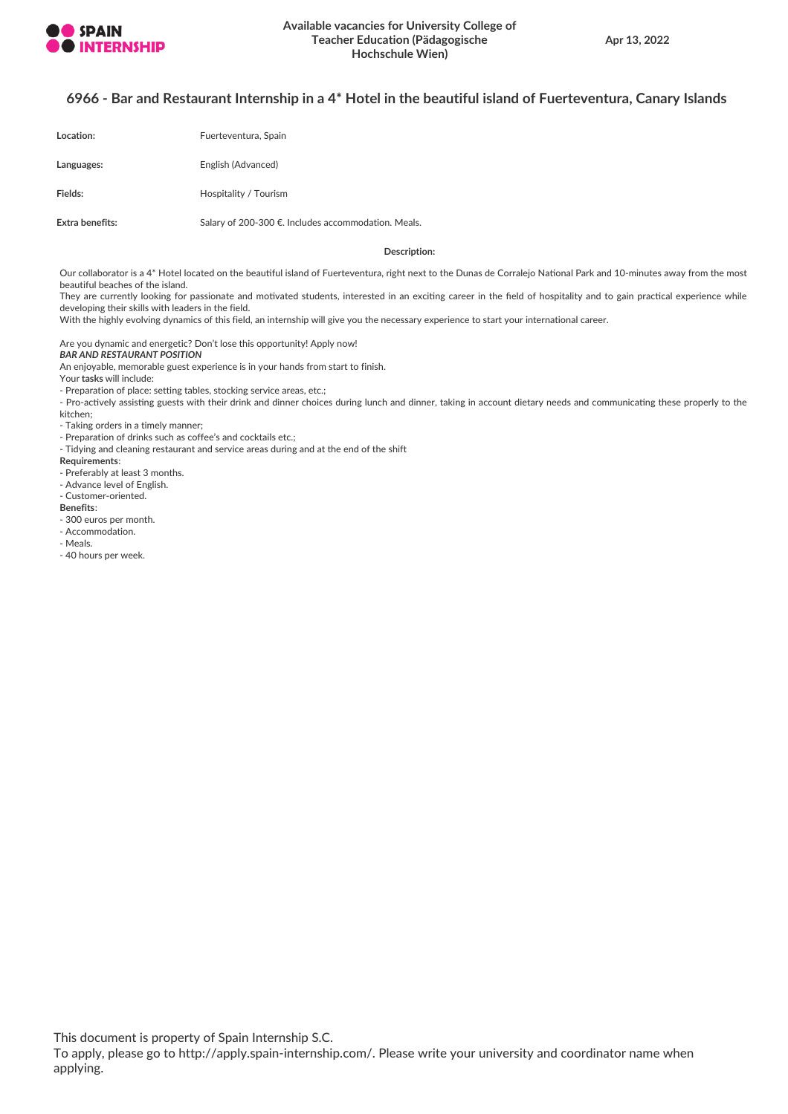

## 6966 - Bar and Restaurant Internship in a 4\* Hotel in the beautiful island of Fuerteventura, Canary Islands

| Location:       | Fuerteventura, Spain                                |
|-----------------|-----------------------------------------------------|
| Languages:      | English (Advanced)                                  |
| Fields:         | Hospitality / Tourism                               |
| Extra benefits: | Salary of 200-300 €. Includes accommodation. Meals. |

#### **Description:**

Our collaborator is a 4\* Hotel located on the beautiful island of Fuerteventura, right next to the Dunas de Corralejo National Park and 10-minutes away from the most beautiful beaches of the island.

They are currently looking for passionate and motivated students, interested in an exciting career in the field of hospitality and to gain practical experience while developing their skills with leaders in the field.

With the highly evolving dynamics of this field, an internship will give you the necessary experience to start your international career.

Are you dynamic and energetic? Don't lose this opportunity! Apply now!

#### *BAR AND RESTAURANT POSITION*

An enjoyable, memorable guest experience is in your hands from start to finish.

Your **tasks** will include:

- Preparation of place: setting tables, stocking service areas, etc.;

- Pro-actively assisting guests with their drink and dinner choices during lunch and dinner, taking in account dietary needs and communicating these properly to the kitchen;

- Taking orders in a timely manner;

- Preparation of drinks such as coffee's and cocktails etc.;

- Tidying and cleaning restaurant and service areas during and at the end of the shift

**Requirements**:

- Preferably at least 3 months.
- Advance level of English.

- Customer-oriented.

**Benefits**:

- 300 euros per month.
- Accommodation.

- Meals.

- 40 hours per week.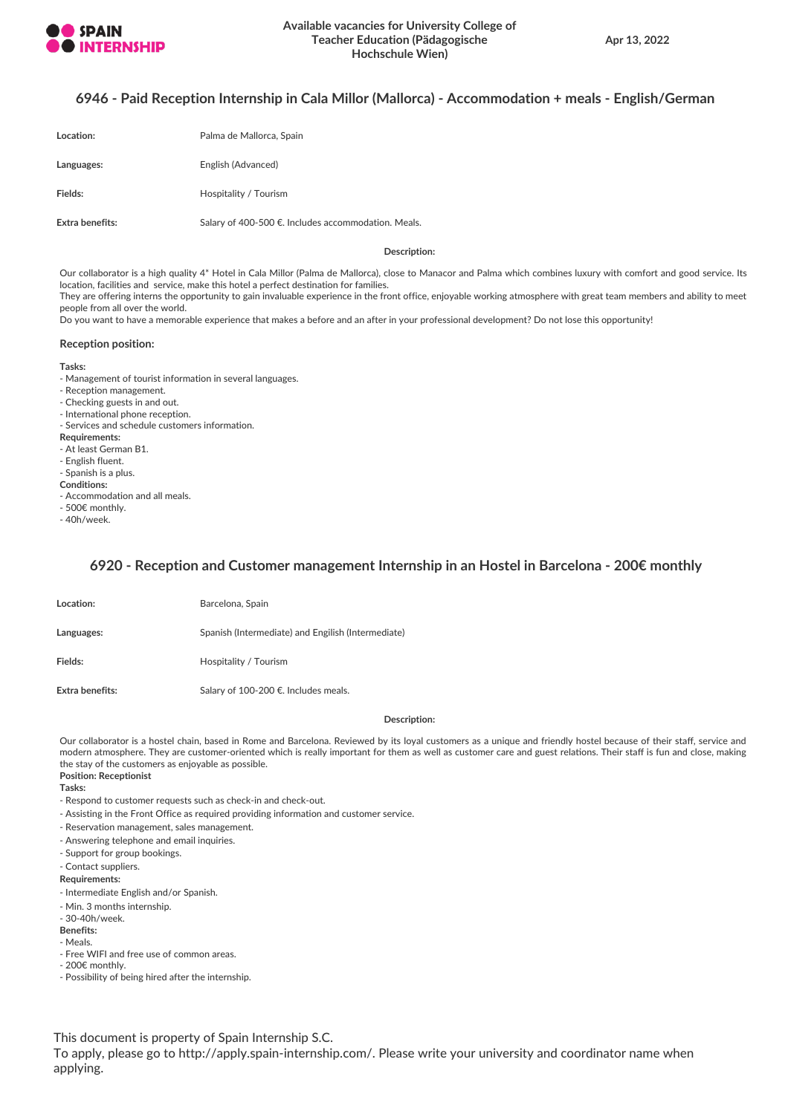

## **6946 - Paid Reception Internship in Cala Millor (Mallorca) - Accommodation + meals - English/German**

| Location:       | Palma de Mallorca, Spain                            |
|-----------------|-----------------------------------------------------|
| Languages:      | English (Advanced)                                  |
| Fields:         | Hospitality / Tourism                               |
| Extra benefits: | Salary of 400-500 €. Includes accommodation. Meals. |

**Description:**

Our collaborator is a high quality 4\* Hotel in Cala Millor (Palma de Mallorca), close to Manacor and Palma which combines luxury with comfort and good service. Its location, facilities and service, make this hotel a perfect destination for families.

They are offering interns the opportunity to gain invaluable experience in the front office, enjoyable working atmosphere with great team members and ability to meet people from all over the world.

Do you want to have a memorable experience that makes a before and an after in your professional development? Do not lose this opportunity!

#### **Reception position:**

#### **Tasks:**

- Management of tourist information in several languages.

- Reception management.
- Checking guests in and out.
- International phone reception.
- Services and schedule customers information.
- **Requirements:**
- At least German B1.
- English fluent.
- Spanish is a plus.
- **Conditions:**
- Accommodation and all meals.
- 500€ monthly.
- 40h/week.

## **6920 - Reception and Customer management Internship in an Hostel in Barcelona - 200€ monthly**

| Location:       | Barcelona, Spain                                   |
|-----------------|----------------------------------------------------|
| Languages:      | Spanish (Intermediate) and Engilish (Intermediate) |
| Fields:         | Hospitality / Tourism                              |
| Extra benefits: | Salary of 100-200 €. Includes meals.               |

#### **Description:**

Our collaborator is a hostel chain, based in Rome and Barcelona. Reviewed by its loyal customers as a unique and friendly hostel because of their staff, service and modern atmosphere. They are customer-oriented which is really important for them as well as customer care and guest relations. Their staff is fun and close, making the stay of the customers as enjoyable as possible.

**Position: Receptionist**

**Tasks:**

- Respond to customer requests such as check-in and check-out.
- Assisting in the Front Office as required providing information and customer service.
- Reservation management, sales management.
- Answering telephone and email inquiries.
- Support for group bookings.
- Contact suppliers.

#### **Requirements:**

- Intermediate English and/or Spanish.
- Min. 3 months internship.
- 30-40h/week.
- **Benefits:**
- Meals.
- Free WIFI and free use of common areas.
- 200€ monthly.
- Possibility of being hired after the internship.

This document is property of Spain Internship S.C.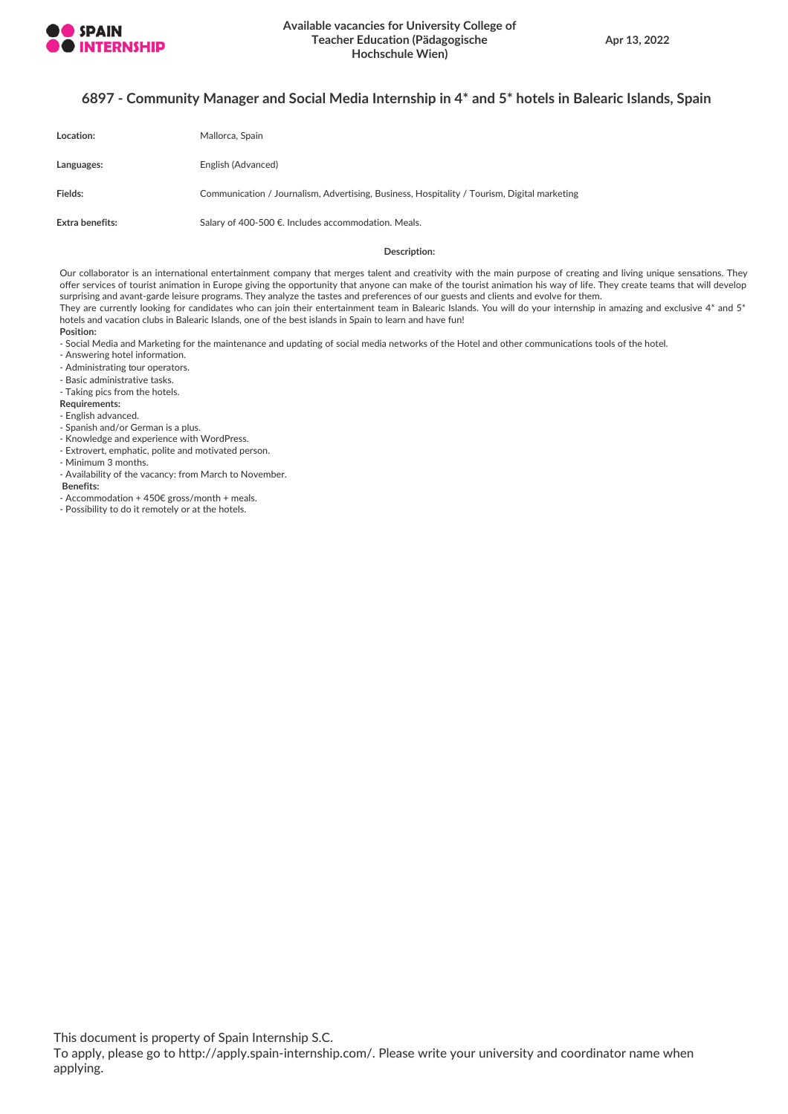

## **6897 - Community Manager and Social Media Internship in 4\* and 5\* hotels in Balearic Islands, Spain**

| Location:       | Mallorca, Spain                                                                             |
|-----------------|---------------------------------------------------------------------------------------------|
| Languages:      | English (Advanced)                                                                          |
| Fields:         | Communication / Journalism, Advertising, Business, Hospitality / Tourism, Digital marketing |
| Extra benefits: | Salary of 400-500 €. Includes accommodation. Meals.                                         |

#### **Description:**

Our collaborator is an international entertainment company that merges talent and creativity with the main purpose of creating and living unique sensations. They offer services of tourist animation in Europe giving the opportunity that anyone can make of the tourist animation his way of life. They create teams that will develop surprising and avant-garde leisure programs. They analyze the tastes and preferences of our guests and clients and evolve for them. They are currently looking for candidates who can join their entertainment team in Balearic Islands. You will do your internship in amazing and exclusive 4\* and 5\* hotels and vacation clubs in Balearic Islands, one of the best islands in Spain to learn and have fun!

#### **Position:**

- Social Media and Marketing for the maintenance and updating of social media networks of the Hotel and other communications tools of the hotel.

- Answering hotel information.
- Administrating tour operators.
- Basic administrative tasks.
- Taking pics from the hotels.
- **Requirements:**
- English advanced.
- Spanish and/or German is a plus.
- Knowledge and experience with WordPress.
- Extrovert, emphatic, polite and motivated person.
- Minimum 3 months.
- Availability of the vacancy: from March to November.
- **Benefits:** - Accommodation + 450€ gross/month + meals.
- Possibility to do it remotely or at the hotels.

This document is property of Spain Internship S.C.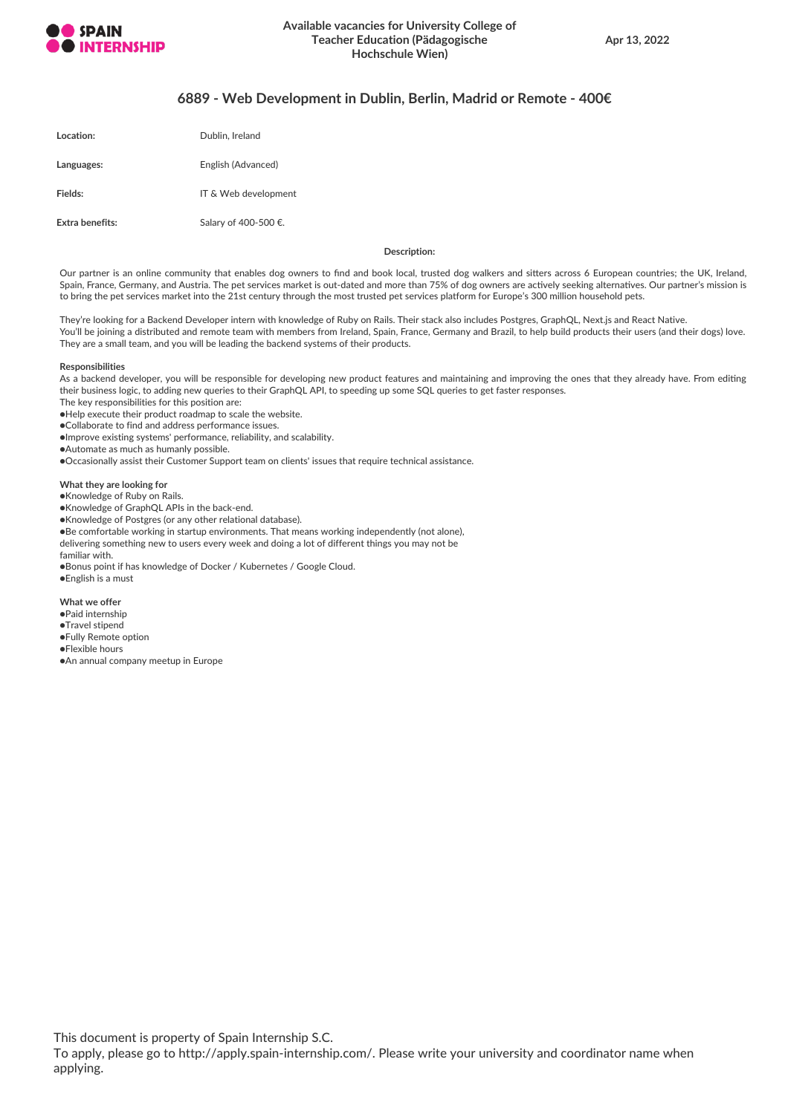

## **6889 - Web Development in Dublin, Berlin, Madrid or Remote - 400€**

| Location:       | Dublin, Ireland      |
|-----------------|----------------------|
| Languages:      | English (Advanced)   |
| Fields:         | IT & Web development |
| Extra benefits: | Salary of 400-500 €. |

**Description:**

Our partner is an online community that enables dog owners to find and book local, trusted dog walkers and sitters across 6 European countries; the UK, Ireland, Spain, France, Germany, and Austria. The pet services market is out-dated and more than 75% of dog owners are actively seeking alternatives. Our partner's mission is to bring the pet services market into the 21st century through the most trusted pet services platform for Europe's 300 million household pets.

They're looking for a Backend Developer intern with knowledge of Ruby on Rails. Their stack also includes Postgres, GraphQL, Next.js and React Native. You'll be joining a distributed and remote team with members from Ireland, Spain, France, Germany and Brazil, to help build products their users (and their dogs) love. They are a small team, and you will be leading the backend systems of their products.

#### **Responsibilities**

As a backend developer, you will be responsible for developing new product features and maintaining and improving the ones that they already have. From editing their business logic, to adding new queries to their GraphQL API, to speeding up some SQL queries to get faster responses.

The key responsibilities for this position are:

●Help execute their product roadmap to scale the website.

●Collaborate to find and address performance issues.

●Improve existing systems' performance, reliability, and scalability.

●Automate as much as humanly possible.

●Occasionally assist their Customer Support team on clients' issues that require technical assistance.

#### **What they are looking for**

●Knowledge of Ruby on Rails.

●Knowledge of GraphQL APIs in the back-end.

●Knowledge of Postgres (or any other relational database).

●Be comfortable working in startup environments. That means working independently (not alone),

delivering something new to users every week and doing a lot of different things you may not be

familiar with.

●Bonus point if has knowledge of Docker / Kubernetes / Google Cloud.

●English is a must

**What we offer**

●Paid internship

- ●Travel stipend
- ●Fully Remote option
- ●Flexible hours
- ●An annual company meetup in Europe

This document is property of Spain Internship S.C.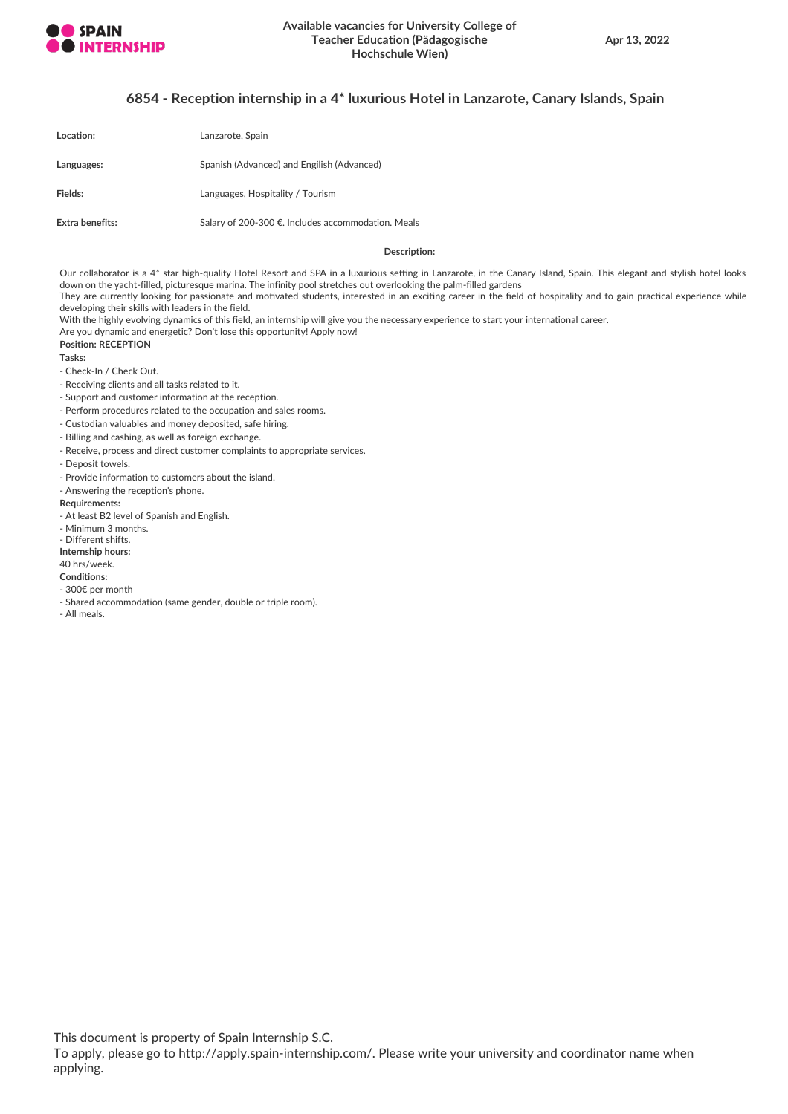

## **6854 - Reception internship in a 4\* luxurious Hotel in Lanzarote, Canary Islands, Spain**

| Location:       | Lanzarote, Spain                                   |
|-----------------|----------------------------------------------------|
| Languages:      | Spanish (Advanced) and Engilish (Advanced)         |
| Fields:         | Languages, Hospitality / Tourism                   |
| Extra benefits: | Salary of 200-300 €. Includes accommodation. Meals |

#### **Description:**

Our collaborator is a 4\* star high-quality Hotel Resort and SPA in a luxurious setting in Lanzarote, in the Canary Island, Spain. This elegant and stylish hotel looks down on the yacht-filled, picturesque marina. The infinity pool stretches out overlooking the palm-filled gardens They are currently looking for passionate and motivated students, interested in an exciting career in the field of hospitality and to gain practical experience while

developing their skills with leaders in the field.

With the highly evolving dynamics of this field, an internship will give you the necessary experience to start your international career. Are you dynamic and energetic? Don't lose this opportunity! Apply now!

**Position: RECEPTION**

**Tasks:**

- Check-In / Check Out.

- Receiving clients and all tasks related to it.
- Support and customer information at the reception.
- Perform procedures related to the occupation and sales rooms.
- Custodian valuables and money deposited, safe hiring.
- Billing and cashing, as well as foreign exchange.
- Receive, process and direct customer complaints to appropriate services.
- Deposit towels.
- Provide information to customers about the island.
- Answering the reception's phone.
- **Requirements:**
- At least B2 level of Spanish and English.
- Minimum 3 months.
- Different shifts.
- **Internship hours:** 40 hrs/week.

## **Conditions:**

- 300€ per month
- 
- Shared accommodation (same gender, double or triple room).
- All meals.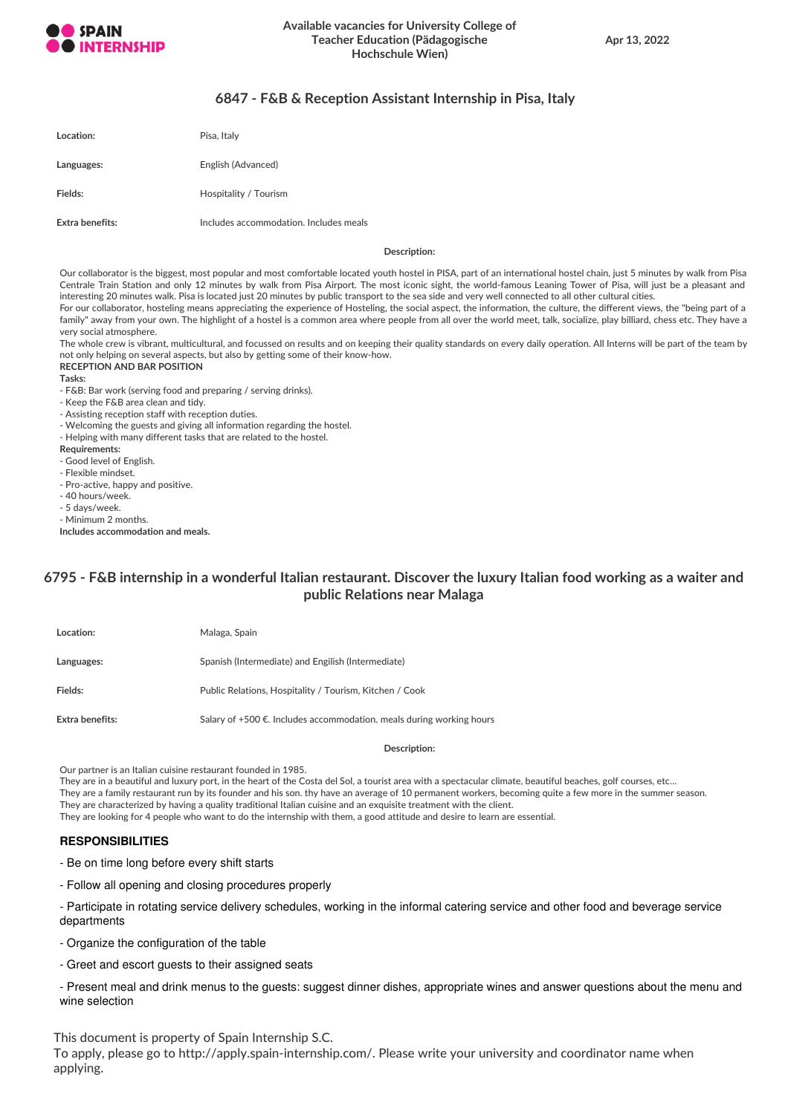

## **6847 - F&B & Reception Assistant Internship in Pisa, Italy**

| Location:       | Pisa, Italy                            |
|-----------------|----------------------------------------|
| Languages:      | English (Advanced)                     |
| Fields:         | Hospitality / Tourism                  |
| Extra benefits: | Includes accommodation. Includes meals |

#### **Description:**

Our collaborator is the biggest, most popular and most comfortable located youth hostel in PISA, part of an international hostel chain, just 5 minutes by walk from Pisa Centrale Train Station and only 12 minutes by walk from Pisa Airport. The most iconic sight, the world-famous Leaning Tower of Pisa, will just be a pleasant and interesting 20 minutes walk. Pisa is located just 20 minutes by public transport to the sea side and very well connected to all other cultural cities. For our collaborator, hosteling means appreciating the experience of Hosteling, the social aspect, the information, the culture, the different views, the "being part of a

family" away from your own. The highlight of a hostel is a common area where people from all over the world meet, talk, socialize, play billiard, chess etc. They have a very social atmosphere.

The whole crew is vibrant, multicultural, and focussed on results and on keeping their quality standards on every daily operation. All Interns will be part of the team by not only helping on several aspects, but also by getting some of their know-how.

## **RECEPTION AND BAR POSITION**

**Tasks:**

- F&B: Bar work (serving food and preparing / serving drinks).

- Keep the F&B area clean and tidy.
- Assisting reception staff with reception duties.
- Welcoming the guests and giving all information regarding the hostel.
- Helping with many different tasks that are related to the hostel.

**Requirements:**

- Good level of English.
- Flexible mindset.
- Pro-active, happy and positive.
- 40 hours/week.
- 5 days/week. - Minimum 2 months.
- **Includes accommodation and meals.**

## 6795 - F&B internship in a wonderful Italian restaurant. Discover the luxury Italian food working as a waiter and **public Relations near Malaga**

| Location:       | Malaga, Spain                                                             |
|-----------------|---------------------------------------------------------------------------|
| Languages:      | Spanish (Intermediate) and Engilish (Intermediate)                        |
| Fields:         | Public Relations, Hospitality / Tourism, Kitchen / Cook                   |
| Extra benefits: | Salary of $+500 \in$ . Includes accommodation, meals during working hours |

#### **Description:**

Our partner is an Italian cuisine restaurant founded in 1985.

They are in a beautiful and luxury port, in the heart of the Costa del Sol, a tourist area with a spectacular climate, beautiful beaches, golf courses, etc...

They are a family restaurant run by its founder and his son. thy have an average of 10 permanent workers, becoming quite a few more in the summer season. They are characterized by having a quality traditional Italian cuisine and an exquisite treatment with the client.

They are looking for 4 people who want to do the internship with them, a good attitude and desire to learn are essential.

## **RESPONSIBILITIES**

- Be on time long before every shift starts

- Follow all opening and closing procedures properly

- Participate in rotating service delivery schedules, working in the informal catering service and other food and beverage service departments

- Organize the configuration of the table

- Greet and escort guests to their assigned seats

- Present meal and drink menus to the guests: suggest dinner dishes, appropriate wines and answer questions about the menu and wine selection

This document is property of Spain Internship S.C. To apply, please go to http://apply.spain-internship.com/. Please write your university and coordinator name when applying.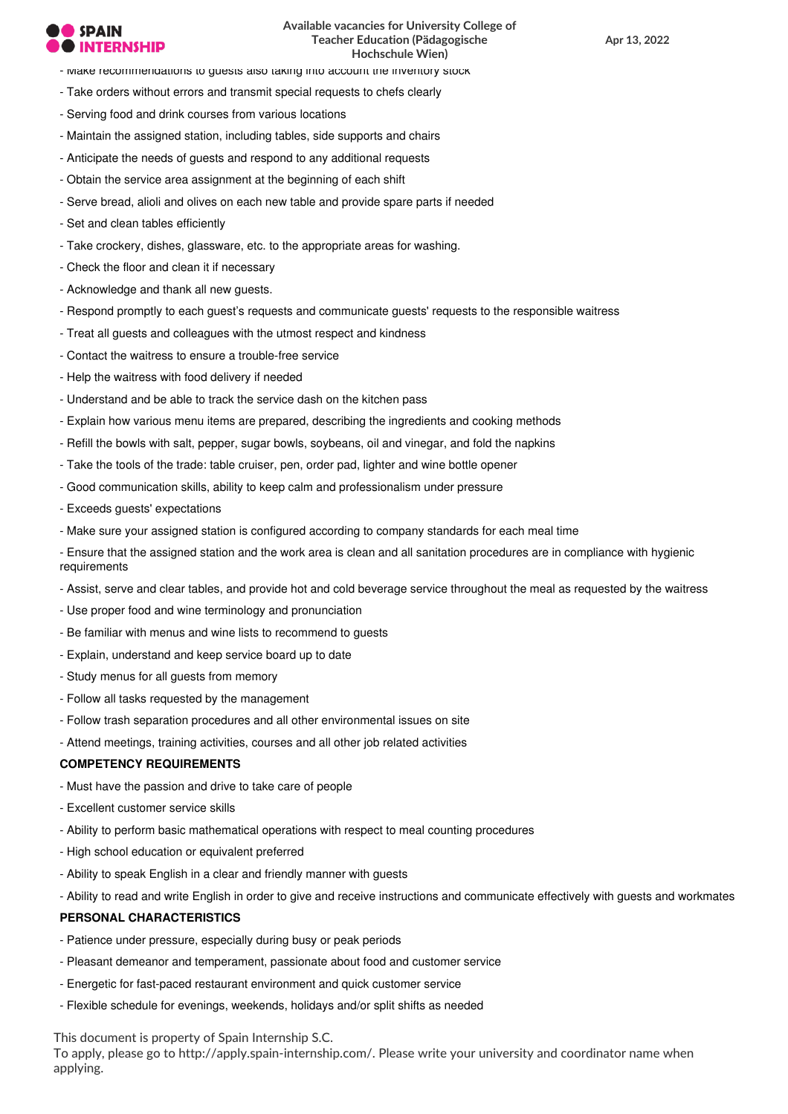# **SPAIN**

- Make recommendations to guests also taking into account the inventory stock
- Take orders without errors and transmit special requests to chefs clearly
- Serving food and drink courses from various locations
- Maintain the assigned station, including tables, side supports and chairs
- Anticipate the needs of guests and respond to any additional requests
- Obtain the service area assignment at the beginning of each shift
- Serve bread, alioli and olives on each new table and provide spare parts if needed
- Set and clean tables efficiently
- Take crockery, dishes, glassware, etc. to the appropriate areas for washing.
- Check the floor and clean it if necessary
- Acknowledge and thank all new guests.
- Respond promptly to each guest's requests and communicate guests' requests to the responsible waitress
- Treat all guests and colleagues with the utmost respect and kindness
- Contact the waitress to ensure a trouble-free service
- Help the waitress with food delivery if needed
- Understand and be able to track the service dash on the kitchen pass
- Explain how various menu items are prepared, describing the ingredients and cooking methods
- Refill the bowls with salt, pepper, sugar bowls, soybeans, oil and vinegar, and fold the napkins
- Take the tools of the trade: table cruiser, pen, order pad, lighter and wine bottle opener
- Good communication skills, ability to keep calm and professionalism under pressure
- Exceeds guests' expectations
- Make sure your assigned station is configured according to company standards for each meal time
- Ensure that the assigned station and the work area is clean and all sanitation procedures are in compliance with hygienic requirements
- Assist, serve and clear tables, and provide hot and cold beverage service throughout the meal as requested by the waitress
- Use proper food and wine terminology and pronunciation
- Be familiar with menus and wine lists to recommend to guests
- Explain, understand and keep service board up to date
- Study menus for all guests from memory
- Follow all tasks requested by the management
- Follow trash separation procedures and all other environmental issues on site
- Attend meetings, training activities, courses and all other job related activities

## **COMPETENCY REQUIREMENTS**

- Must have the passion and drive to take care of people
- Excellent customer service skills
- Ability to perform basic mathematical operations with respect to meal counting procedures
- High school education or equivalent preferred
- Ability to speak English in a clear and friendly manner with guests
- Ability to read and write English in order to give and receive instructions and communicate effectively with guests and workmates

## **PERSONAL CHARACTERISTICS**

- Patience under pressure, especially during busy or peak periods
- Pleasant demeanor and temperament, passionate about food and customer service
- Energetic for fast-paced restaurant environment and quick customer service
- Flexible schedule for evenings, weekends, holidays and/or split shifts as needed

This document is property of Spain Internship S.C.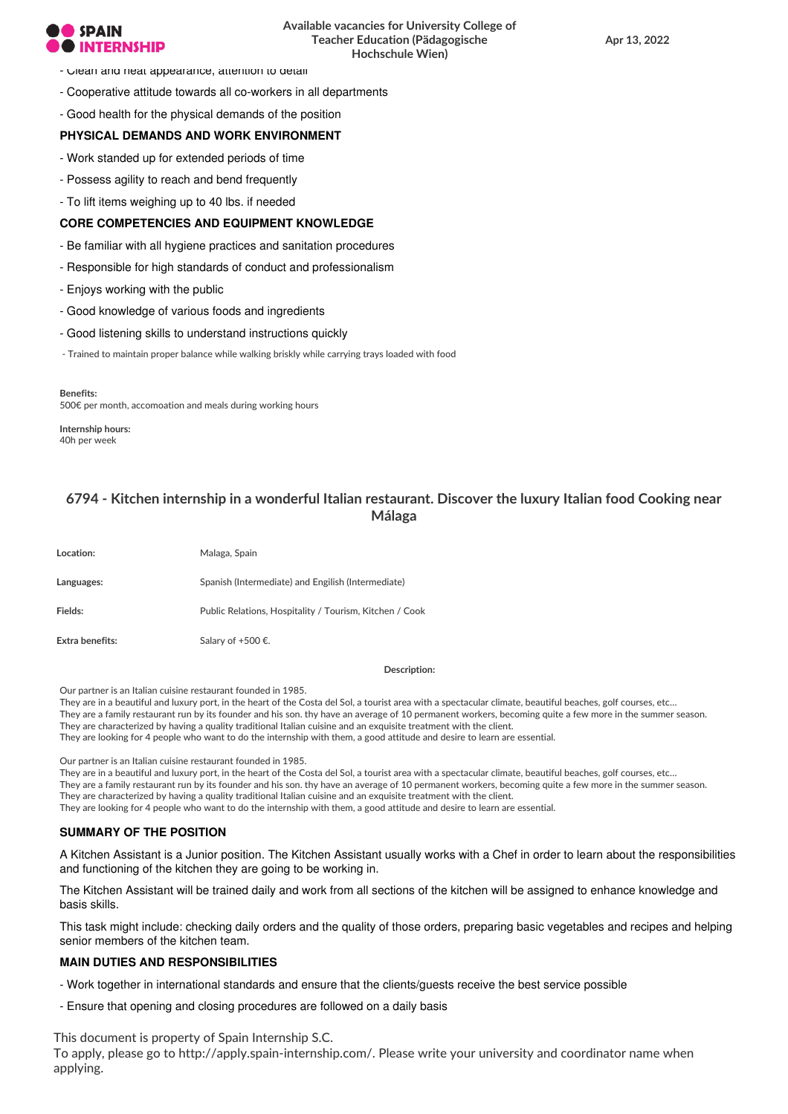## **SPAIN ERNSHIP**

- Clean and neat appearance, attention to detail
- Cooperative attitude towards all co-workers in all departments

- Good health for the physical demands of the position

## **PHYSICAL DEMANDS AND WORK ENVIRONMENT**

- Work standed up for extended periods of time
- Possess agility to reach and bend frequently
- To lift items weighing up to 40 lbs. if needed

### **CORE COMPETENCIES AND EQUIPMENT KNOWLEDGE**

- Be familiar with all hygiene practices and sanitation procedures
- Responsible for high standards of conduct and professionalism
- Enjoys working with the public
- Good knowledge of various foods and ingredients
- Good listening skills to understand instructions quickly
- Trained to maintain proper balance while walking briskly while carrying trays loaded with food

**Benefits:** 500€ per month, accomoation and meals during working hours

**Internship hours:** 40h per week

## **6794 - Kitchen internship in a wonderful Italian restaurant. Discover the luxury Italian food Cooking near Málaga**

| Location:       | Malaga, Spain                                           |
|-----------------|---------------------------------------------------------|
| Languages:      | Spanish (Intermediate) and Engilish (Intermediate)      |
| Fields:         | Public Relations, Hospitality / Tourism, Kitchen / Cook |
| Extra benefits: | Salary of +500 €.                                       |

**Description:**

Our partner is an Italian cuisine restaurant founded in 1985.

They are in a beautiful and luxury port, in the heart of the Costa del Sol, a tourist area with a spectacular climate, beautiful beaches, golf courses, etc… They are a family restaurant run by its founder and his son. thy have an average of 10 permanent workers, becoming quite a few more in the summer season. They are characterized by having a quality traditional Italian cuisine and an exquisite treatment with the client.

They are looking for 4 people who want to do the internship with them, a good attitude and desire to learn are essential.

Our partner is an Italian cuisine restaurant founded in 1985.

They are in a beautiful and luxury port, in the heart of the Costa del Sol, a tourist area with a spectacular climate, beautiful beaches, golf courses, etc…

They are a family restaurant run by its founder and his son. thy have an average of 10 permanent workers, becoming quite a few more in the summer season.

They are characterized by having a quality traditional Italian cuisine and an exquisite treatment with the client. They are looking for 4 people who want to do the internship with them, a good attitude and desire to learn are essential.

## **SUMMARY OF THE POSITION**

A Kitchen Assistant is a Junior position. The Kitchen Assistant usually works with a Chef in order to learn about the responsibilities and functioning of the kitchen they are going to be working in.

The Kitchen Assistant will be trained daily and work from all sections of the kitchen will be assigned to enhance knowledge and basis skills.

This task might include: checking daily orders and the quality of those orders, preparing basic vegetables and recipes and helping senior members of the kitchen team.

## **MAIN DUTIES AND RESPONSIBILITIES**

- Work together in international standards and ensure that the clients/guests receive the best service possible
- Ensure that opening and closing procedures are followed on a daily basis

This document is property of Spain Internship S.C. To apply, please go to http://apply.spain-internship.com/. Please write your university and coordinator name when applying.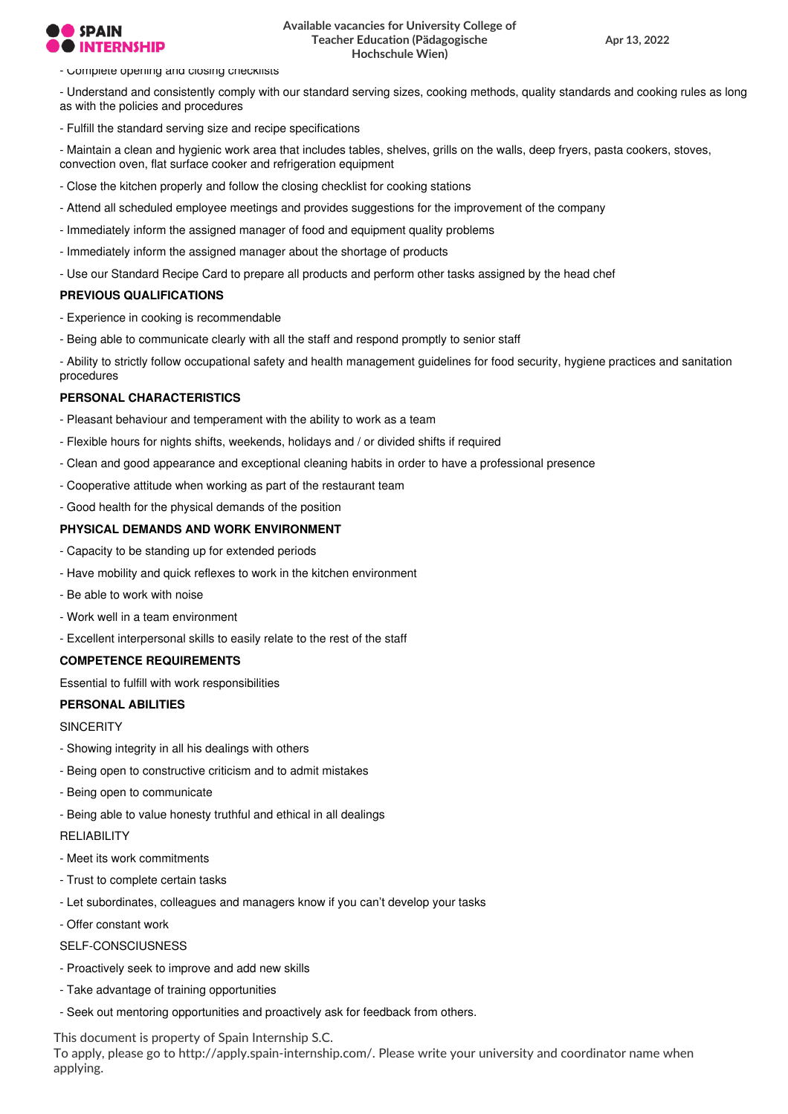## **SPAIN ERNSHIP**

## **Available vacancies for University College of Teacher Education (Pädagogische Hochschule Wien)**

**Apr 13, 2022**

- Complete opening and closing checklists

- Understand and consistently comply with our standard serving sizes, cooking methods, quality standards and cooking rules as long as with the policies and procedures

- Fulfill the standard serving size and recipe specifications

- Maintain a clean and hygienic work area that includes tables, shelves, grills on the walls, deep fryers, pasta cookers, stoves, convection oven, flat surface cooker and refrigeration equipment

- Close the kitchen properly and follow the closing checklist for cooking stations
- Attend all scheduled employee meetings and provides suggestions for the improvement of the company
- Immediately inform the assigned manager of food and equipment quality problems
- Immediately inform the assigned manager about the shortage of products
- Use our Standard Recipe Card to prepare all products and perform other tasks assigned by the head chef

## **PREVIOUS QUALIFICATIONS**

- Experience in cooking is recommendable
- Being able to communicate clearly with all the staff and respond promptly to senior staff

- Ability to strictly follow occupational safety and health management guidelines for food security, hygiene practices and sanitation procedures

## **PERSONAL CHARACTERISTICS**

- Pleasant behaviour and temperament with the ability to work as a team
- Flexible hours for nights shifts, weekends, holidays and / or divided shifts if required
- Clean and good appearance and exceptional cleaning habits in order to have a professional presence
- Cooperative attitude when working as part of the restaurant team
- Good health for the physical demands of the position

#### **PHYSICAL DEMANDS AND WORK ENVIRONMENT**

- Capacity to be standing up for extended periods
- Have mobility and quick reflexes to work in the kitchen environment
- Be able to work with noise
- Work well in a team environment
- Excellent interpersonal skills to easily relate to the rest of the staff

## **COMPETENCE REQUIREMENTS**

Essential to fulfill with work responsibilities

#### **PERSONAL ABILITIES**

**SINCERITY** 

- Showing integrity in all his dealings with others
- Being open to constructive criticism and to admit mistakes
- Being open to communicate
- Being able to value honesty truthful and ethical in all dealings

#### **RELIABILITY**

- Meet its work commitments
- Trust to complete certain tasks
- Let subordinates, colleagues and managers know if you can't develop your tasks
- Offer constant work

SELF-CONSCIUSNESS

- Proactively seek to improve and add new skills
- Take advantage of training opportunities
- Seek out mentoring opportunities and proactively ask for feedback from others.

This document is property of Spain Internship S.C.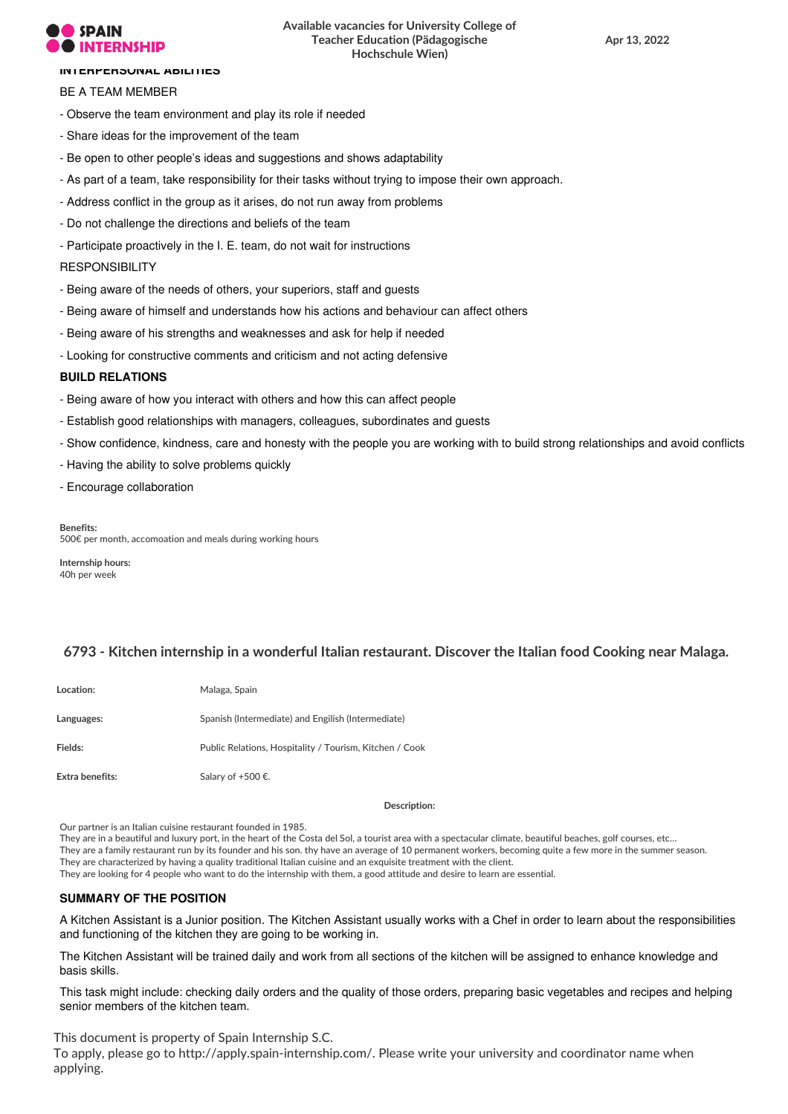## **SPAIN**

## **Available vacancies for University College of Teacher Education (Pädagogische Hochschule Wien)**

### **INTERPERSONAL ABILITIES**

## BE A TEAM MEMBER

- Observe the team environment and play its role if needed
- Share ideas for the improvement of the team
- Be open to other people's ideas and suggestions and shows adaptability
- As part of a team, take responsibility for their tasks without trying to impose their own approach.
- Address conflict in the group as it arises, do not run away from problems
- Do not challenge the directions and beliefs of the team
- Participate proactively in the I. E. team, do not wait for instructions

## **RESPONSIBILITY**

- Being aware of the needs of others, your superiors, staff and guests
- Being aware of himself and understands how his actions and behaviour can affect others
- Being aware of his strengths and weaknesses and ask for help if needed
- Looking for constructive comments and criticism and not acting defensive

## **BUILD RELATIONS**

- Being aware of how you interact with others and how this can affect people
- Establish good relationships with managers, colleagues, subordinates and guests
- Show confidence, kindness, care and honesty with the people you are working with to build strong relationships and avoid conflicts
- Having the ability to solve problems quickly
- Encourage collaboration

**Benefits:** 500€ per month, accomoation and meals during working hours

**Internship hours:** 40h per week

## **6793 - Kitchen internship in a wonderful Italian restaurant. Discover the Italian food Cooking near Malaga.**

| Location:       | Malaga, Spain                                           |
|-----------------|---------------------------------------------------------|
| Languages:      | Spanish (Intermediate) and Engilish (Intermediate)      |
| Fields:         | Public Relations, Hospitality / Tourism, Kitchen / Cook |
| Extra benefits: | Salary of +500 €.                                       |

**Description:**

Our partner is an Italian cuisine restaurant founded in 1985.

They are in a beautiful and luxury port, in the heart of the Costa del Sol, a tourist area with a spectacular climate, beautiful beaches, golf courses, etc…

They are a family restaurant run by its founder and his son. thy have an average of 10 permanent workers, becoming quite a few more in the summer season.

They are characterized by having a quality traditional Italian cuisine and an exquisite treatment with the client.

They are looking for 4 people who want to do the internship with them, a good attitude and desire to learn are essential.

## **SUMMARY OF THE POSITION**

A Kitchen Assistant is a Junior position. The Kitchen Assistant usually works with a Chef in order to learn about the responsibilities and functioning of the kitchen they are going to be working in.

The Kitchen Assistant will be trained daily and work from all sections of the kitchen will be assigned to enhance knowledge and basis skills.

This task might include: checking daily orders and the quality of those orders, preparing basic vegetables and recipes and helping senior members of the kitchen team.

This document is property of Spain Internship S.C. To apply, please go to http://apply.spain-internship.com/. Please write your university and coordinator name when applying.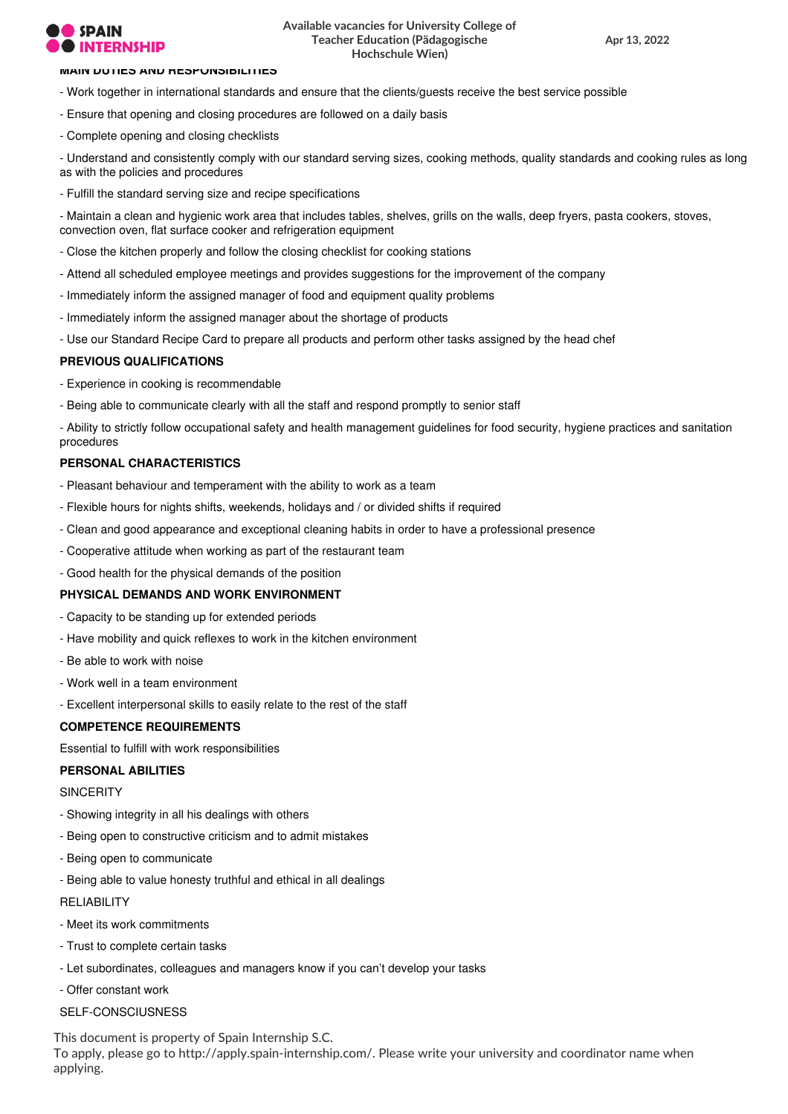## **SPAIN**

#### **MAIN DUTIES AND RESPONSIBILITIES**

- Work together in international standards and ensure that the clients/guests receive the best service possible
- Ensure that opening and closing procedures are followed on a daily basis
- Complete opening and closing checklists

- Understand and consistently comply with our standard serving sizes, cooking methods, quality standards and cooking rules as long as with the policies and procedures

- Fulfill the standard serving size and recipe specifications

- Maintain a clean and hygienic work area that includes tables, shelves, grills on the walls, deep fryers, pasta cookers, stoves, convection oven, flat surface cooker and refrigeration equipment

- Close the kitchen properly and follow the closing checklist for cooking stations
- Attend all scheduled employee meetings and provides suggestions for the improvement of the company
- Immediately inform the assigned manager of food and equipment quality problems
- Immediately inform the assigned manager about the shortage of products
- Use our Standard Recipe Card to prepare all products and perform other tasks assigned by the head chef

## **PREVIOUS QUALIFICATIONS**

- Experience in cooking is recommendable
- Being able to communicate clearly with all the staff and respond promptly to senior staff

- Ability to strictly follow occupational safety and health management guidelines for food security, hygiene practices and sanitation procedures

#### **PERSONAL CHARACTERISTICS**

- Pleasant behaviour and temperament with the ability to work as a team
- Flexible hours for nights shifts, weekends, holidays and / or divided shifts if required
- Clean and good appearance and exceptional cleaning habits in order to have a professional presence
- Cooperative attitude when working as part of the restaurant team
- Good health for the physical demands of the position

## **PHYSICAL DEMANDS AND WORK ENVIRONMENT**

- Capacity to be standing up for extended periods
- Have mobility and quick reflexes to work in the kitchen environment
- Be able to work with noise
- Work well in a team environment
- Excellent interpersonal skills to easily relate to the rest of the staff

#### **COMPETENCE REQUIREMENTS**

Essential to fulfill with work responsibilities

## **PERSONAL ABILITIES**

**SINCERITY** 

- Showing integrity in all his dealings with others
- Being open to constructive criticism and to admit mistakes
- Being open to communicate
- Being able to value honesty truthful and ethical in all dealings

**RELIABILITY** 

- Meet its work commitments
- Trust to complete certain tasks
- Let subordinates, colleagues and managers know if you can't develop your tasks
- Offer constant work
- SELF-CONSCILISNESS

This document is property of Spain Internship S.C.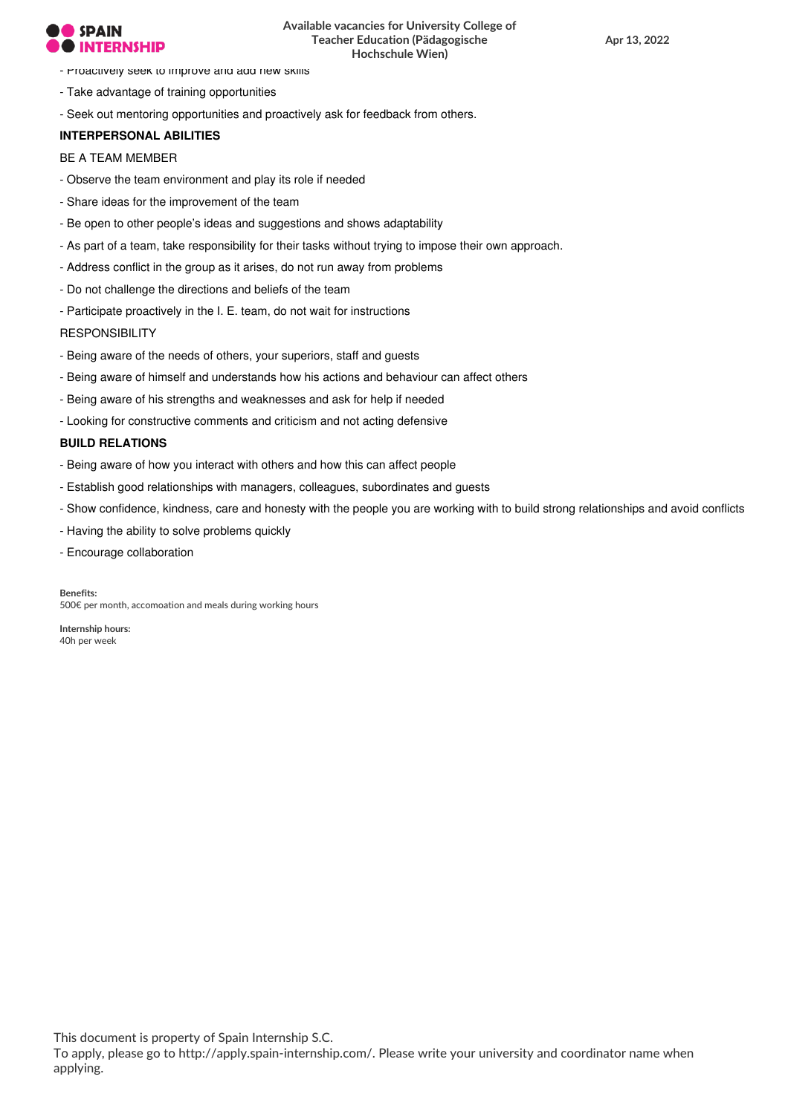- Proactively seek to improve and add new skills
- Take advantage of training opportunities
- Seek out mentoring opportunities and proactively ask for feedback from others.

## **INTERPERSONAL ABILITIES**

## BE A TEAM MEMBER

- Observe the team environment and play its role if needed
- Share ideas for the improvement of the team
- Be open to other people's ideas and suggestions and shows adaptability
- As part of a team, take responsibility for their tasks without trying to impose their own approach.
- Address conflict in the group as it arises, do not run away from problems
- Do not challenge the directions and beliefs of the team
- Participate proactively in the I. E. team, do not wait for instructions

## **RESPONSIBILITY**

- Being aware of the needs of others, your superiors, staff and guests
- Being aware of himself and understands how his actions and behaviour can affect others
- Being aware of his strengths and weaknesses and ask for help if needed
- Looking for constructive comments and criticism and not acting defensive

## **BUILD RELATIONS**

- Being aware of how you interact with others and how this can affect people
- Establish good relationships with managers, colleagues, subordinates and guests
- Show confidence, kindness, care and honesty with the people you are working with to build strong relationships and avoid conflicts
- Having the ability to solve problems quickly
- Encourage collaboration

**Benefits:** 500€ per month, accomoation and meals during working hours

**Internship hours:** 40h per week

This document is property of Spain Internship S.C.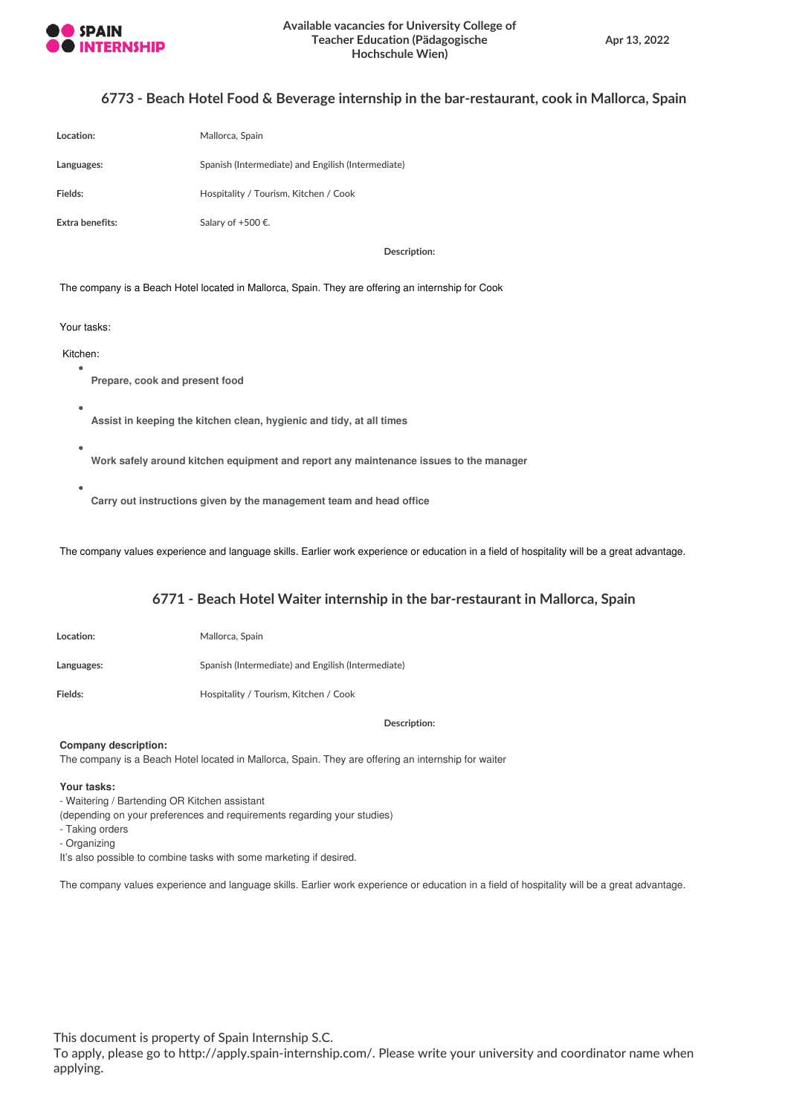

## **6773 - Beach Hotel Food & Beverage internship in the bar-restaurant, cook in Mallorca, Spain**

| Location:       | Mallorca, Spain                                    |
|-----------------|----------------------------------------------------|
| Languages:      | Spanish (Intermediate) and Engilish (Intermediate) |
| Fields:         | Hospitality / Tourism, Kitchen / Cook              |
| Extra benefits: | Salary of +500 €.                                  |

**Description:**

The company is a Beach Hotel located in Mallorca, Spain. They are offering an internship for Cook

#### Your tasks:

## Kitchen:

- **Prepare, cook and present food**
- **Assist in keeping the kitchen clean, hygienic and tidy, at all times**
- **Work safely around kitchen equipment and report any maintenance issues to the manager**
- - **Carry out instructions given by the management team and head office**

The company values experience and language skills. Earlier work experience or education in a field of hospitality will be a great advantage.

## **6771 - Beach Hotel Waiter internship in the bar-restaurant in Mallorca, Spain**

| <b>Location:</b> | Mallorca, Spain                                    |
|------------------|----------------------------------------------------|
| Languages:       | Spanish (Intermediate) and Engilish (Intermediate) |
| Fields:          | Hospitality / Tourism, Kitchen / Cook              |

**Description:**

#### **Company description:**

The company is a Beach Hotel located in Mallorca, Spain. They are offering an internship for waiter

### **Your tasks:**

- Waitering / Bartending OR Kitchen assistant
- (depending on your preferences and requirements regarding your studies)
- Taking orders
- Organizing
- It's also possible to combine tasks with some marketing if desired.

The company values experience and language skills. Earlier work experience or education in a field of hospitality will be a great advantage.

This document is property of Spain Internship S.C.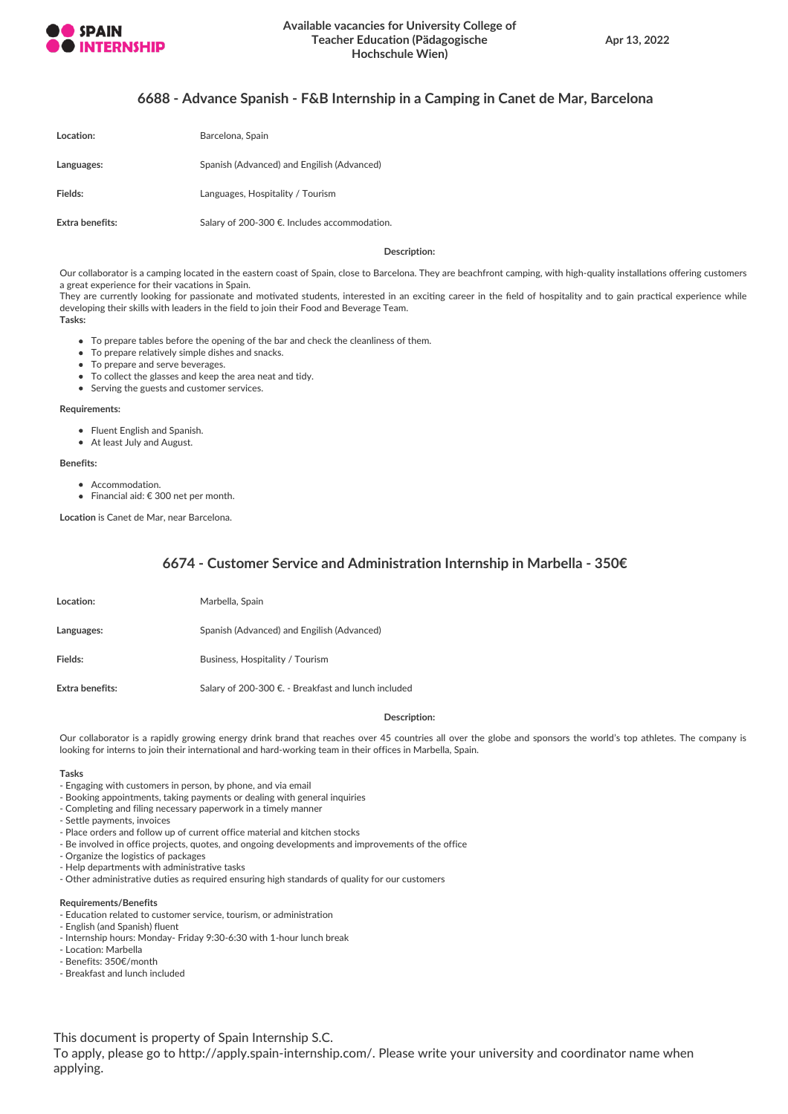

## **6688 - Advance Spanish - F&B Internship in a Camping in Canet de Mar, Barcelona**

| Location:       | Barcelona, Spain                             |
|-----------------|----------------------------------------------|
| Languages:      | Spanish (Advanced) and Engilish (Advanced)   |
| Fields:         | Languages, Hospitality / Tourism             |
| Extra benefits: | Salary of 200-300 €. Includes accommodation. |

**Description:**

Our collaborator is a camping located in the eastern coast of Spain, close to Barcelona. They are beachfront camping, with high-quality installations offering customers a great experience for their vacations in Spain.

They are currently looking for passionate and motivated students, interested in an exciting career in the field of hospitality and to gain practical experience while developing their skills with leaders in the field to join their Food and Beverage Team. **Tasks:**

- To prepare tables before the opening of the bar and check the cleanliness of them.
- To prepare relatively simple dishes and snacks.
- To prepare and serve beverages.
- To collect the glasses and keep the area neat and tidy.
- Serving the guests and customer services.

#### **Requirements:**

- Fluent English and Spanish.
- At least July and August.

#### **Benefits:**

- Accommodation.
- Financial aid: € 300 net per month.

**Location** is Canet de Mar, near Barcelona.

## **6674 - Customer Service and Administration Internship in Marbella - 350€**

| Location:       | Marbella, Spain                                     |
|-----------------|-----------------------------------------------------|
| Languages:      | Spanish (Advanced) and Engilish (Advanced)          |
| Fields:         | Business, Hospitality / Tourism                     |
| Extra benefits: | Salary of 200-300 €. - Breakfast and lunch included |

#### **Description:**

Our collaborator is a rapidly growing energy drink brand that reaches over 45 countries all over the globe and sponsors the world's top athletes. The company is looking for interns to join their international and hard-working team in their offices in Marbella, Spain.

#### **Tasks**

- Engaging with customers in person, by phone, and via email
- Booking appointments, taking payments or dealing with general inquiries
- Completing and filing necessary paperwork in a timely manner
- Settle payments, invoices
- Place orders and follow up of current office material and kitchen stocks
- Be involved in office projects, quotes, and ongoing developments and improvements of the office
- Organize the logistics of packages
- Help departments with administrative tasks
- Other administrative duties as required ensuring high standards of quality for our customers

#### **Requirements/Benefits**

- Education related to customer service, tourism, or administration
- English (and Spanish) fluent
- Internship hours: Monday- Friday 9:30-6:30 with 1-hour lunch break
- Location: Marbella
- Benefits: 350€/month
- Breakfast and lunch included

This document is property of Spain Internship S.C.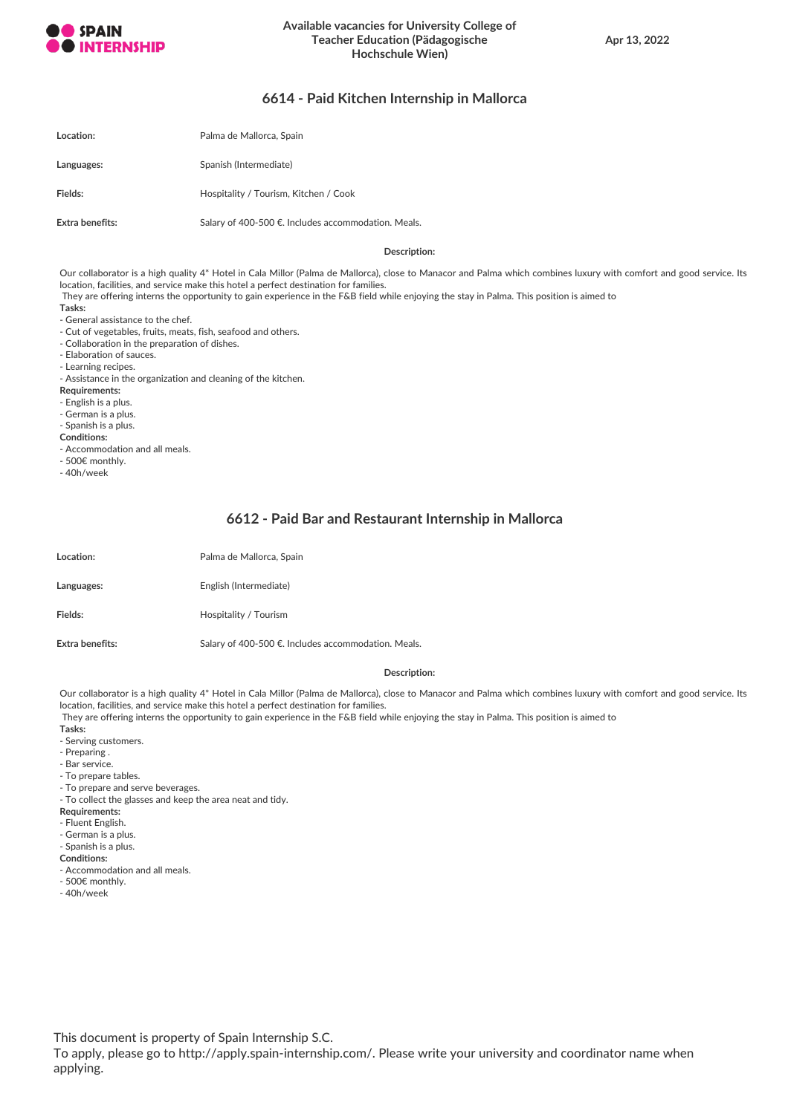

## **6614 - Paid Kitchen Internship in Mallorca**

| Location:       | Palma de Mallorca, Spain                            |
|-----------------|-----------------------------------------------------|
| Languages:      | Spanish (Intermediate)                              |
| Fields:         | Hospitality / Tourism, Kitchen / Cook               |
| Extra benefits: | Salary of 400-500 €. Includes accommodation. Meals. |

#### **Description:**

Our collaborator is a high quality 4\* Hotel in Cala Millor (Palma de Mallorca), close to Manacor and Palma which combines luxury with comfort and good service. Its location, facilities, and service make this hotel a perfect destination for families.

They are offering interns the opportunity to gain experience in the F&B field while enjoying the stay in Palma. This position is aimed to

- **Tasks:**
- General assistance to the chef.
- Cut of vegetables, fruits, meats, fish, seafood and others.
- Collaboration in the preparation of dishes.
- Elaboration of sauces.
- Learning recipes.
- Assistance in the organization and cleaning of the kitchen.
- **Requirements:**
- English is a plus.
- German is a plus.
- Spanish is a plus.
- **Conditions:**
- Accommodation and all meals.
- 500€ monthly.
- 40h/week

## **6612 - Paid Bar and Restaurant Internship in Mallorca**

| Location:              | Palma de Mallorca, Spain                            |
|------------------------|-----------------------------------------------------|
| Languages:             | English (Intermediate)                              |
| Fields:                | Hospitality / Tourism                               |
| <b>Extra benefits:</b> | Salary of 400-500 €. Includes accommodation. Meals. |

#### **Description:**

Our collaborator is a high quality 4\* Hotel in Cala Millor (Palma de Mallorca), close to Manacor and Palma which combines luxury with comfort and good service. Its location, facilities, and service make this hotel a perfect destination for families.

They are offering interns the opportunity to gain experience in the F&B field while enjoying the stay in Palma. This position is aimed to

- **Tasks:**
- Serving customers.
- Preparing .
- Bar service.
- To prepare tables.
- To prepare and serve beverages.
- To collect the glasses and keep the area neat and tidy.
- **Requirements:**
- Fluent English.
- German is a plus.
- Spanish is a plus.
- **Conditions:**
- Accommodation and all meals.
- 500€ monthly.
- 40h/week

This document is property of Spain Internship S.C.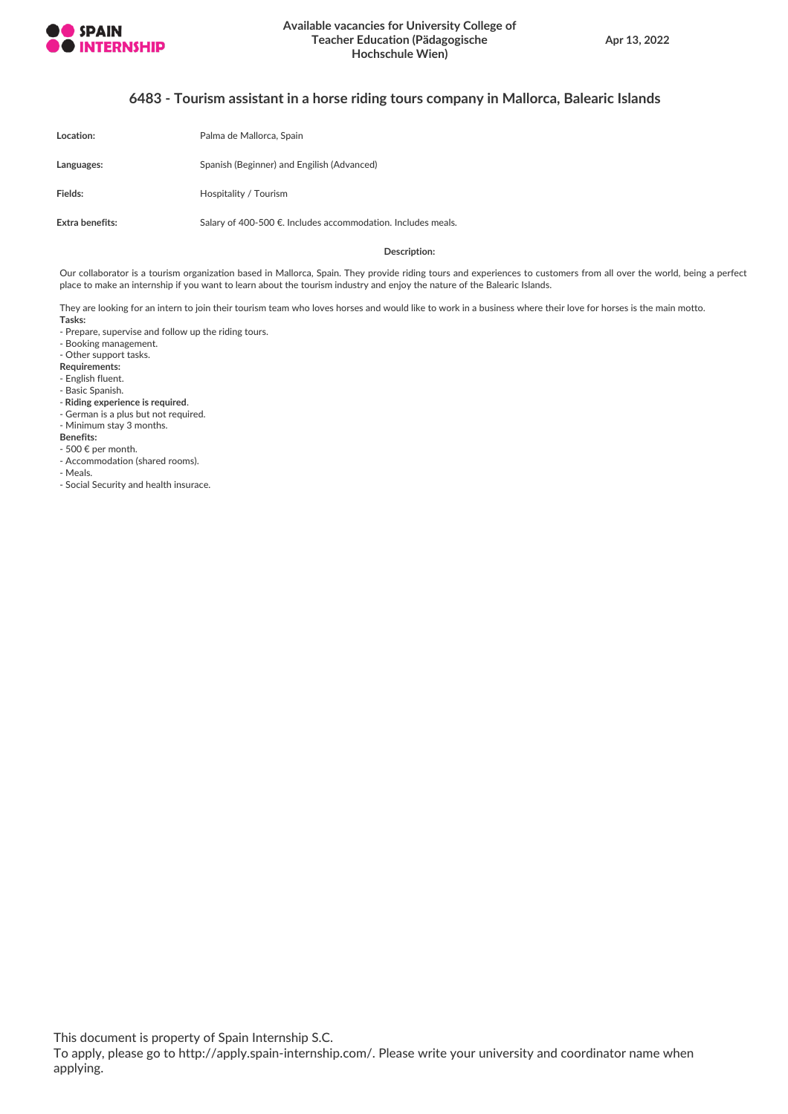

## **6483 - Tourism assistant in a horse riding tours company in Mallorca, Balearic Islands**

| Location:       | Palma de Mallorca, Spain                                     |
|-----------------|--------------------------------------------------------------|
| Languages:      | Spanish (Beginner) and Engilish (Advanced)                   |
| Fields:         | Hospitality / Tourism                                        |
| Extra benefits: | Salary of 400-500 €. Includes accommodation. Includes meals. |

#### **Description:**

Our collaborator is a tourism organization based in Mallorca, Spain. They provide riding tours and experiences to customers from all over the world, being a perfect place to make an internship if you want to learn about the tourism industry and enjoy the nature of the Balearic Islands.

They are looking for an intern to join their tourism team who loves horses and would like to work in a business where their love for horses is the main motto. **Tasks:**

- Prepare, supervise and follow up the riding tours.

- Booking management.

- Other support tasks.

- **Requirements:**
- English fluent.
- Basic Spanish.
- **Riding experience is required**.
- German is a plus but not required.
- Minimum stay 3 months.

**Benefits:**

- 500 € per month.
- Accommodation (shared rooms).
- Meals.

- Social Security and health insurace.

This document is property of Spain Internship S.C.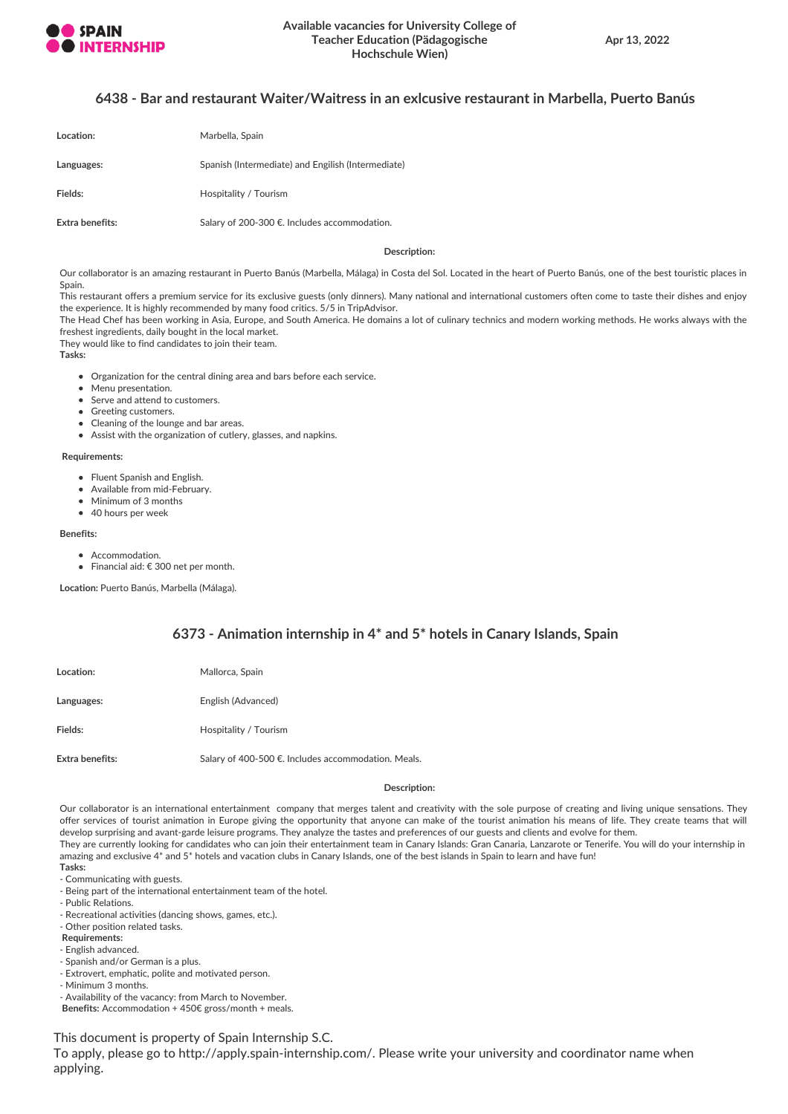

## **6438 - Bar and restaurant Waiter/Waitress in an exlcusive restaurant in Marbella, Puerto Banús**

| Location:       | Marbella, Spain                                    |
|-----------------|----------------------------------------------------|
| Languages:      | Spanish (Intermediate) and Engilish (Intermediate) |
| Fields:         | Hospitality / Tourism                              |
| Extra benefits: | Salary of 200-300 €. Includes accommodation.       |

**Description:**

Our collaborator is an amazing restaurant in Puerto Banús (Marbella, Málaga) in Costa del Sol. Located in the heart of Puerto Banús, one of the best touristic places in Spain.

This restaurant offers a premium service for its exclusive guests (only dinners). Many national and international customers often come to taste their dishes and enjoy the experience. It is highly recommended by many food critics. 5/5 in TripAdvisor.

The Head Chef has been working in Asia, Europe, and South America. He domains a lot of culinary technics and modern working methods. He works always with the freshest ingredients, daily bought in the local market.

They would like to find candidates to join their team.

**Tasks:**

- Organization for the central dining area and bars before each service.
- Menu presentation.
- Serve and attend to customers.
- Greeting customers.
- Cleaning of the lounge and bar areas.
- Assist with the organization of cutlery, glasses, and napkins.

#### **Requirements:**

- Fluent Spanish and English.
- Available from mid-February.
- Minimum of 3 months
- 40 hours per week

#### **Benefits:**

- Accommodation.
- Financial aid: € 300 net per month.

**Location:** Puerto Banús, Marbella (Málaga).

## **6373 - Animation internship in 4\* and 5\* hotels in Canary Islands, Spain**

| Location:       | Mallorca, Spain                                    |
|-----------------|----------------------------------------------------|
| Languages:      | English (Advanced)                                 |
| Fields:         | Hospitality / Tourism                              |
| Extra benefits: | Salary of 400-500 €. Includes accommodation. Meals |

#### **Description:**

Our collaborator is an international entertainment company that merges talent and creativity with the sole purpose of creating and living unique sensations. They offer services of tourist animation in Europe giving the opportunity that anyone can make of the tourist animation his means of life. They create teams that will develop surprising and avant-garde leisure programs. They analyze the tastes and preferences of our guests and clients and evolve for them. They are currently looking for candidates who can join their entertainment team in Canary Islands: Gran Canaria, Lanzarote or Tenerife. You will do your internship in amazing and exclusive 4\* and 5\* hotels and vacation clubs in Canary Islands, one of the best islands in Spain to learn and have fun!

- **Tasks:**
- Communicating with guests.
- Being part of the international entertainment team of the hotel.
- Public Relations.
- Recreational activities (dancing shows, games, etc.).
- Other position related tasks.
- **Requirements:**
- English advanced.
- Spanish and/or German is a plus.
- Extrovert, emphatic, polite and motivated person.
- Minimum 3 months.

- Availability of the vacancy: from March to November.

**Benefits:** Accommodation + 450€ gross/month + meals.

This document is property of Spain Internship S.C.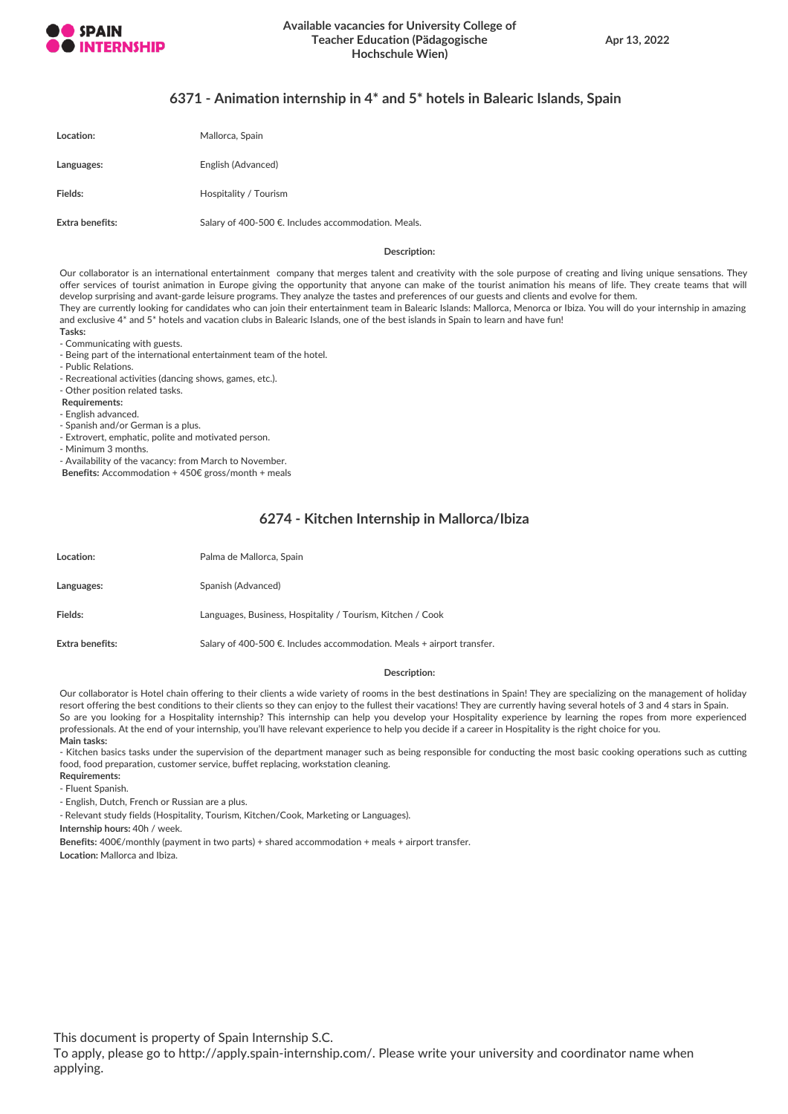

## **6371 - Animation internship in 4\* and 5\* hotels in Balearic Islands, Spain**

| Location:       | Mallorca, Spain                                     |
|-----------------|-----------------------------------------------------|
| Languages:      | English (Advanced)                                  |
| Fields:         | Hospitality / Tourism                               |
| Extra benefits: | Salary of 400-500 €. Includes accommodation. Meals. |

#### **Description:**

Our collaborator is an international entertainment company that merges talent and creativity with the sole purpose of creating and living unique sensations. They offer services of tourist animation in Europe giving the opportunity that anyone can make of the tourist animation his means of life. They create teams that will develop surprising and avant-garde leisure programs. They analyze the tastes and preferences of our guests and clients and evolve for them. They are currently looking for candidates who can join their entertainment team in Balearic Islands: Mallorca, Menorca or Ibiza. You will do your internship in amazing and exclusive 4\* and 5\* hotels and vacation clubs in Balearic Islands, one of the best islands in Spain to learn and have fun!

- **Tasks:**
- Communicating with guests.
- Being part of the international entertainment team of the hotel.
- Public Relations.

- Recreational activities (dancing shows, games, etc.).

- Other position related tasks.

**Requirements:**

- English advanced.

- Spanish and/or German is a plus.

- Extrovert, emphatic, polite and motivated person.

- Minimum 3 months.

- Availability of the vacancy: from March to November.

**Benefits:** Accommodation + 450€ gross/month + meals

## **6274 - Kitchen Internship in Mallorca/Ibiza**

| Location:              | Palma de Mallorca, Spain                                                 |
|------------------------|--------------------------------------------------------------------------|
| Languages:             | Spanish (Advanced)                                                       |
| Fields:                | Languages, Business, Hospitality / Tourism, Kitchen / Cook               |
| <b>Extra benefits:</b> | Salary of 400-500 €. Includes accommodation. Meals $+$ airport transfer. |

#### **Description:**

Our collaborator is Hotel chain offering to their clients a wide variety of rooms in the best destinations in Spain! They are specializing on the management of holiday resort offering the best conditions to their clients so they can enjoy to the fullest their vacations! They are currently having several hotels of 3 and 4 stars in Spain. So are you looking for a Hospitality internship? This internship can help you develop your Hospitality experience by learning the ropes from more experienced professionals. At the end of your internship, you'll have relevant experience to help you decide if a career in Hospitality is the right choice for you. **Main tasks:**

- Kitchen basics tasks under the supervision of the department manager such as being responsible for conducting the most basic cooking operations such as cutting food, food preparation, customer service, buffet replacing, workstation cleaning.

**Requirements:**

- Fluent Spanish.

- English, Dutch, French or Russian are a plus.

- Relevant study fields (Hospitality, Tourism, Kitchen/Cook, Marketing or Languages).

**Internship hours:** 40h / week.

**Benefits:** 400€/monthly (payment in two parts) + shared accommodation + meals + airport transfer.

**Location:** Mallorca and Ibiza.

This document is property of Spain Internship S.C.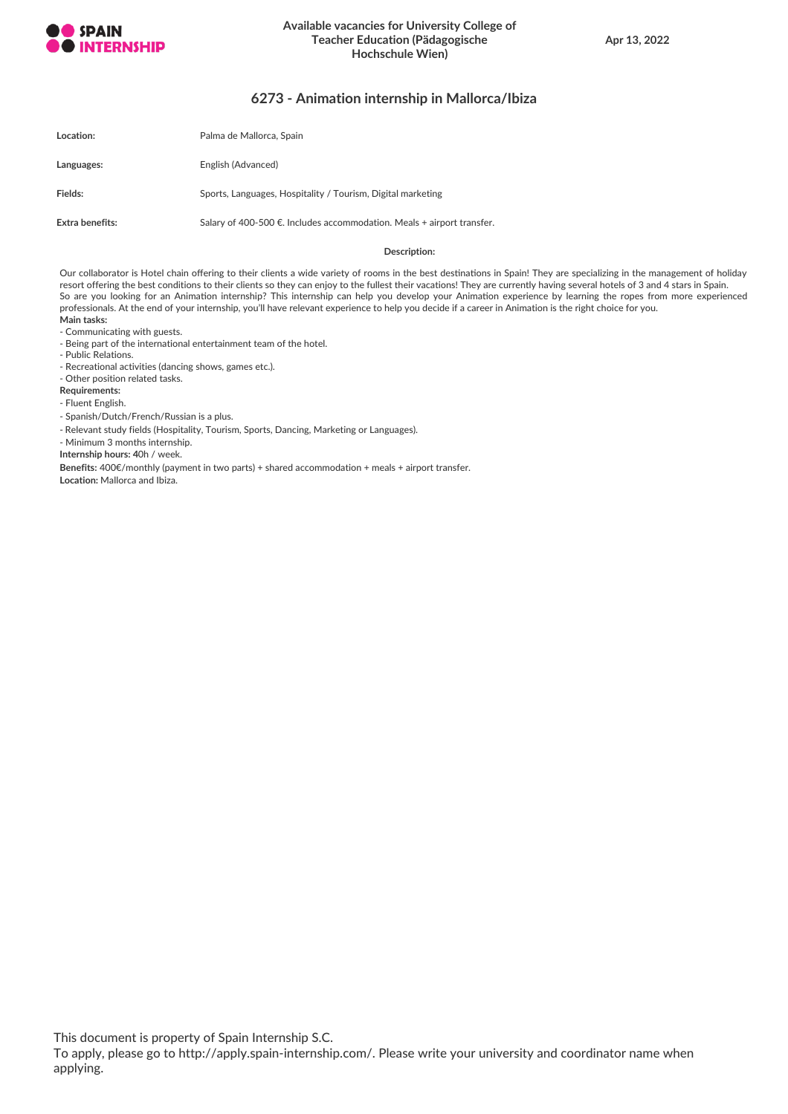

## **Available vacancies for University College of Teacher Education (Pädagogische Hochschule Wien)**

## **6273 - Animation internship in Mallorca/Ibiza**

| Location:       | Palma de Mallorca, Spain                                               |
|-----------------|------------------------------------------------------------------------|
| Languages:      | English (Advanced)                                                     |
| Fields:         | Sports, Languages, Hospitality / Tourism, Digital marketing            |
| Extra benefits: | Salary of 400-500 €. Includes accommodation. Meals + airport transfer. |

#### **Description:**

Our collaborator is Hotel chain offering to their clients a wide variety of rooms in the best destinations in Spain! They are specializing in the management of holiday resort offering the best conditions to their clients so they can enjoy to the fullest their vacations! They are currently having several hotels of 3 and 4 stars in Spain. So are you looking for an Animation internship? This internship can help you develop your Animation experience by learning the ropes from more experienced professionals. At the end of your internship, you'll have relevant experience to help you decide if a career in Animation is the right choice for you. **Main tasks:**

- Communicating with guests.

- Being part of the international entertainment team of the hotel.

- Public Relations.

- Recreational activities (dancing shows, games etc.).

- Other position related tasks.

**Requirements:**

- Fluent English.

- Spanish/Dutch/French/Russian is a plus.

- Relevant study fields (Hospitality, Tourism, Sports, Dancing, Marketing or Languages).

- Minimum 3 months internship.

**Internship hours: 4**0h / week.

**Benefits:** 400€/monthly (payment in two parts) + shared accommodation + meals + airport transfer.

**Location:** Mallorca and Ibiza.

This document is property of Spain Internship S.C.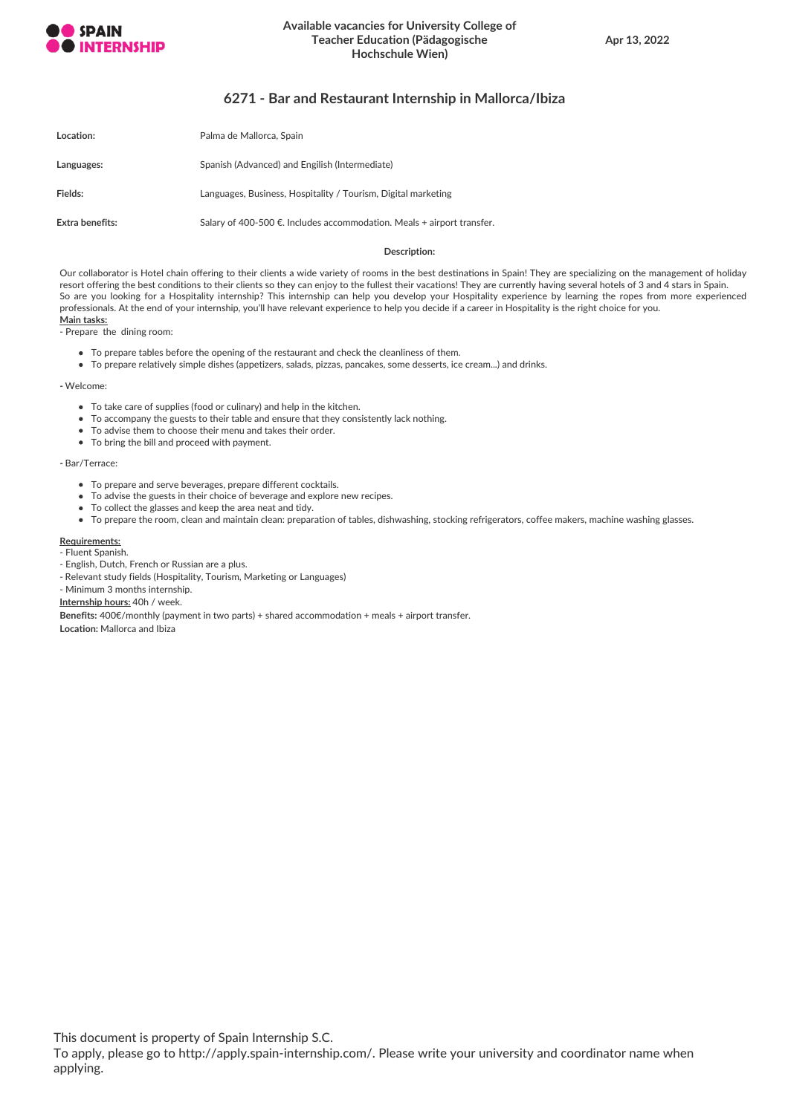

## **Available vacancies for University College of Teacher Education (Pädagogische Hochschule Wien)**

## **6271 - Bar and Restaurant Internship in Mallorca/Ibiza**

| Location:       | Palma de Mallorca, Spain                                                 |
|-----------------|--------------------------------------------------------------------------|
| Languages:      | Spanish (Advanced) and Engilish (Intermediate)                           |
| Fields:         | Languages, Business, Hospitality / Tourism, Digital marketing            |
| Extra benefits: | Salary of 400-500 €. Includes accommodation. Meals $+$ airport transfer. |

#### **Description:**

Our collaborator is Hotel chain offering to their clients a wide variety of rooms in the best destinations in Spain! They are specializing on the management of holiday resort offering the best conditions to their clients so they can enjoy to the fullest their vacations! They are currently having several hotels of 3 and 4 stars in Spain. So are you looking for a Hospitality internship? This internship can help you develop your Hospitality experience by learning the ropes from more experienced professionals. At the end of your internship, you'll have relevant experience to help you decide if a career in Hospitality is the right choice for you. **Main tasks:**

- Prepare the dining room:

- To prepare tables before the opening of the restaurant and check the cleanliness of them.
- To prepare relatively simple dishes (appetizers, salads, pizzas, pancakes, some desserts, ice cream...) and drinks.

**-** Welcome:

- To take care of supplies (food or culinary) and help in the kitchen.
- To accompany the guests to their table and ensure that they consistently lack nothing.
- To advise them to choose their menu and takes their order.
- To bring the bill and proceed with payment.

**-** Bar/Terrace:

- To prepare and serve beverages, prepare different cocktails.
- To advise the guests in their choice of beverage and explore new recipes.
- To collect the glasses and keep the area neat and tidy.
- To prepare the room, clean and maintain clean: preparation of tables, dishwashing, stocking refrigerators, coffee makers, machine washing glasses.

#### **Requirements:**

- Fluent Spanish.

- English, Dutch, French or Russian are a plus.
- Relevant study fields (Hospitality, Tourism, Marketing or Languages)
- Minimum 3 months internship.

**Internship hours:** 40h / week.

**Benefits:** 400€/monthly (payment in two parts) + shared accommodation + meals + airport transfer.

**Location:** Mallorca and Ibiza

This document is property of Spain Internship S.C.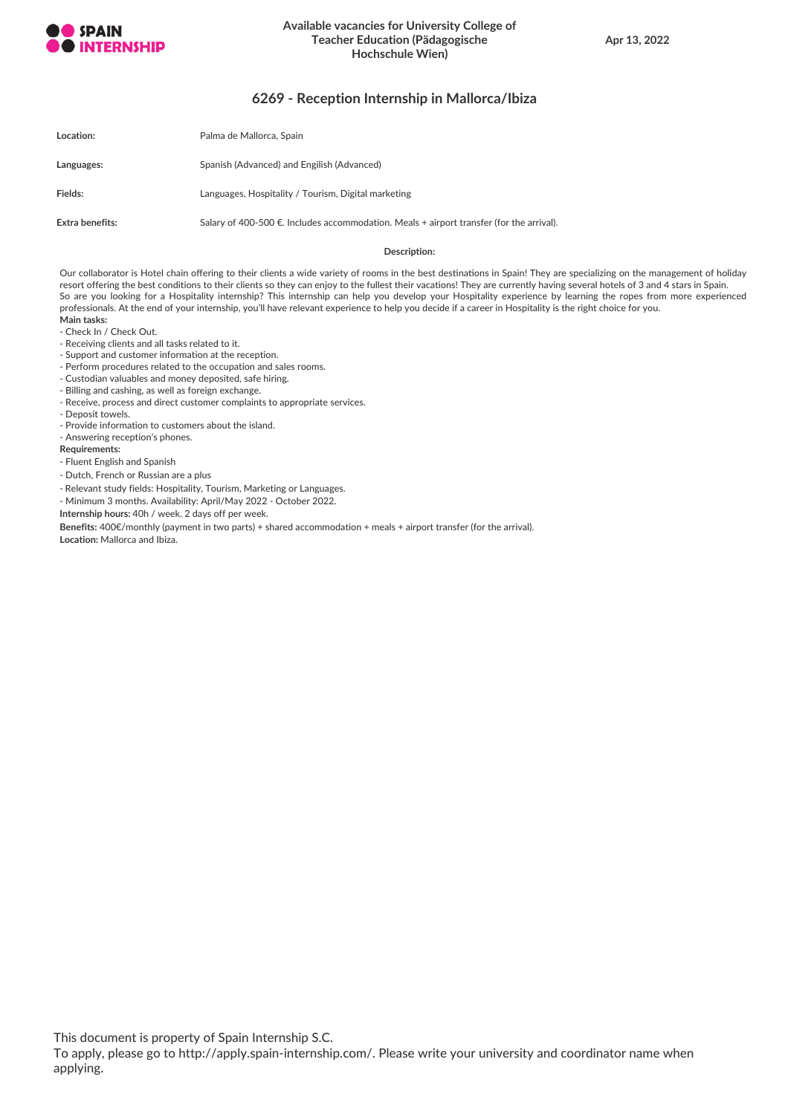

## **Available vacancies for University College of Teacher Education (Pädagogische Hochschule Wien)**

## **6269 - Reception Internship in Mallorca/Ibiza**

| <b>Location:</b> | Palma de Mallorca, Spain                                                                   |
|------------------|--------------------------------------------------------------------------------------------|
| Languages:       | Spanish (Advanced) and Engilish (Advanced)                                                 |
| Fields:          | Languages, Hospitality / Tourism, Digital marketing                                        |
| Extra benefits:  | Salary of 400-500 €. Includes accommodation. Meals $+$ airport transfer (for the arrival). |

#### **Description:**

Our collaborator is Hotel chain offering to their clients a wide variety of rooms in the best destinations in Spain! They are specializing on the management of holiday resort offering the best conditions to their clients so they can enjoy to the fullest their vacations! They are currently having several hotels of 3 and 4 stars in Spain. So are you looking for a Hospitality internship? This internship can help you develop your Hospitality experience by learning the ropes from more experienced professionals. At the end of your internship, you'll have relevant experience to help you decide if a career in Hospitality is the right choice for you. **Main tasks:**

- Check In / Check Out.
- Receiving clients and all tasks related to it.
- Support and customer information at the reception.
- Perform procedures related to the occupation and sales rooms.
- Custodian valuables and money deposited, safe hiring.
- Billing and cashing, as well as foreign exchange.
- Receive, process and direct customer complaints to appropriate services.
- Deposit towels.
- Provide information to customers about the island.
- Answering reception's phones.

#### **Requirements:**

- Fluent English and Spanish
- Dutch, French or Russian are a plus
- Relevant study fields: Hospitality, Tourism, Marketing or Languages.
- Minimum 3 months. Availability: April/May 2022 October 2022.
- **Internship hours:** 40h / week. 2 days off per week.
- **Benefits:** 400€/monthly (payment in two parts) + shared accommodation + meals + airport transfer (for the arrival).

**Location:** Mallorca and Ibiza.

This document is property of Spain Internship S.C.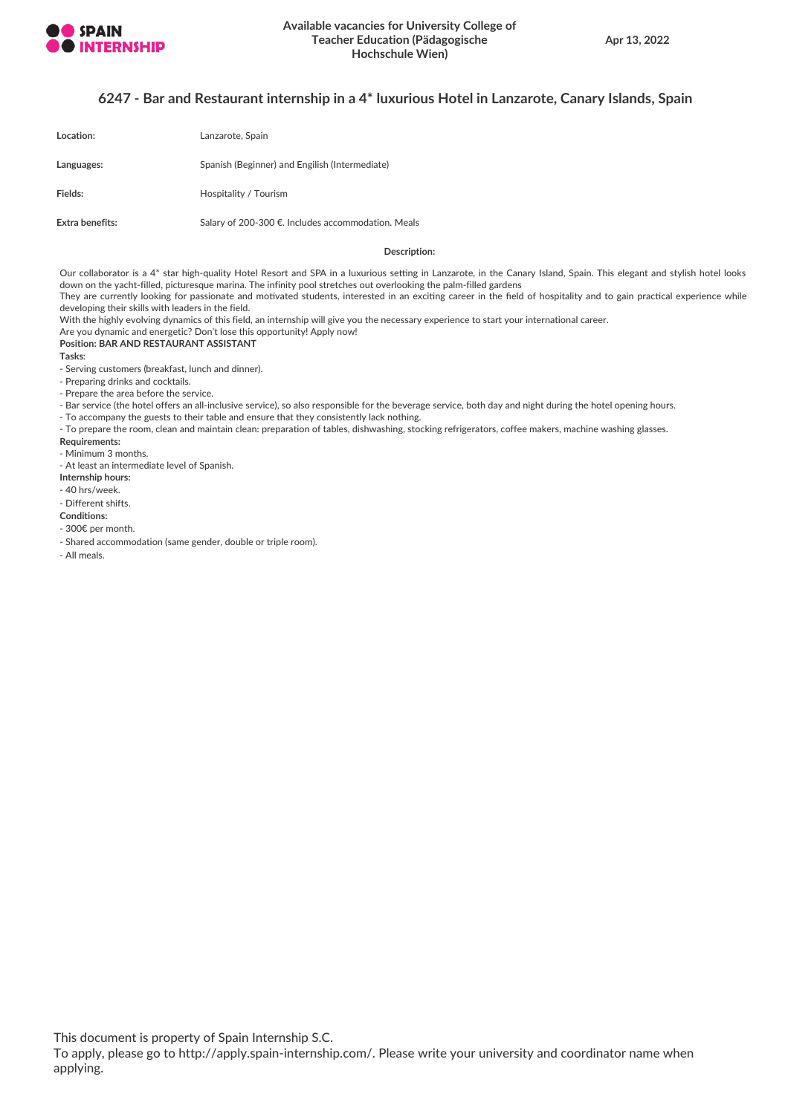

## **6247 - Bar and Restaurant internship in a 4\* luxurious Hotel in Lanzarote, Canary Islands, Spain**

| Location:       | Lanzarote, Spain                                   |
|-----------------|----------------------------------------------------|
| Languages:      | Spanish (Beginner) and Engilish (Intermediate)     |
| Fields:         | Hospitality / Tourism                              |
| Extra benefits: | Salary of 200-300 €. Includes accommodation. Meals |

#### **Description:**

Our collaborator is a 4\* star high-quality Hotel Resort and SPA in a luxurious setting in Lanzarote, in the Canary Island, Spain. This elegant and stylish hotel looks down on the yacht-filled, picturesque marina. The infinity pool stretches out overlooking the palm-filled gardens They are currently looking for passionate and motivated students, interested in an exciting career in the field of hospitality and to gain practical experience while

developing their skills with leaders in the field.

With the highly evolving dynamics of this field, an internship will give you the necessary experience to start your international career.

Are you dynamic and energetic? Don't lose this opportunity! Apply now! **Position: BAR AND RESTAURANT ASSISTANT**

**Tasks**:

- Serving customers (breakfast, lunch and dinner).

- Preparing drinks and cocktails.

- Prepare the area before the service.

- Bar service (the hotel offers an all-inclusive service), so also responsible for the beverage service, both day and night during the hotel opening hours.

- To accompany the guests to their table and ensure that they consistently lack nothing.

- To prepare the room, clean and maintain clean: preparation of tables, dishwashing, stocking refrigerators, coffee makers, machine washing glasses.

**Requirements:**

- Minimum 3 months.

- At least an intermediate level of Spanish.

**Internship hours:**

- 40 hrs/week.

- Different shifts.

**Conditions:**

- 300€ per month.

- Shared accommodation (same gender, double or triple room).

- All meals.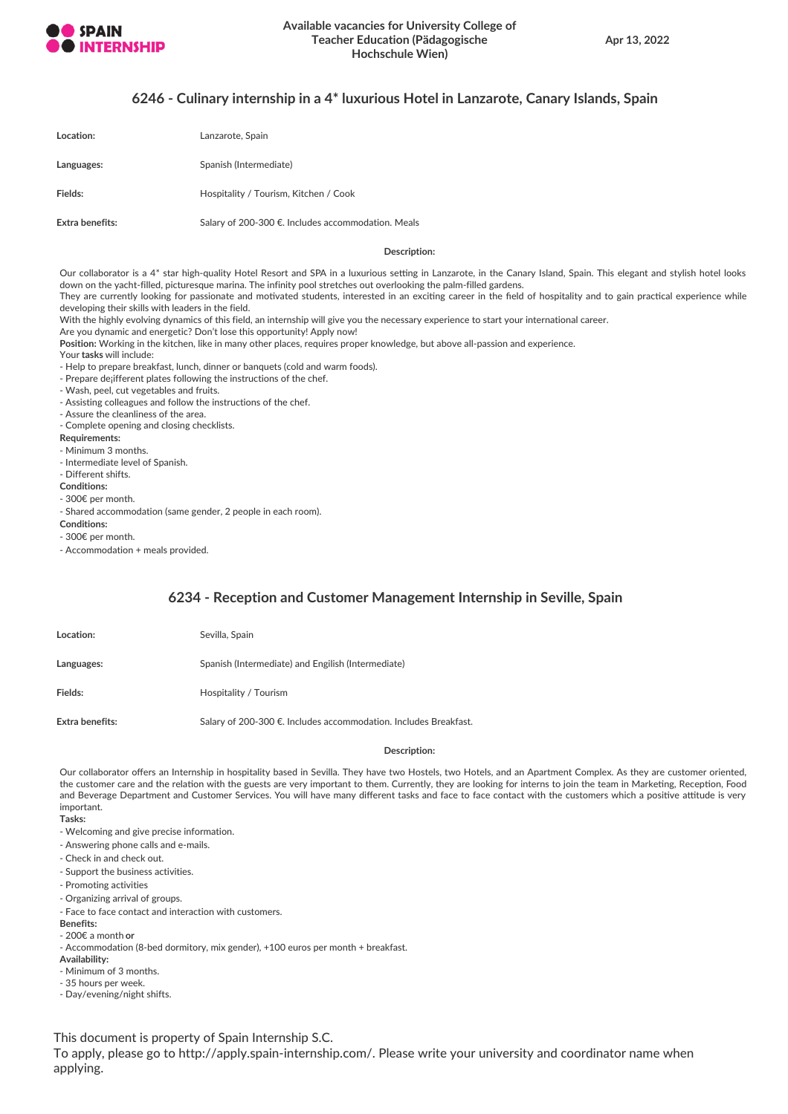

## **6246 - Culinary internship in a 4\* luxurious Hotel in Lanzarote, Canary Islands, Spain**

| Location:       | Lanzarote, Spain                                   |
|-----------------|----------------------------------------------------|
| Languages:      | Spanish (Intermediate)                             |
| Fields:         | Hospitality / Tourism, Kitchen / Cook              |
| Extra benefits: | Salary of 200-300 €. Includes accommodation. Meals |

#### **Description:**

Our collaborator is a 4\* star high-quality Hotel Resort and SPA in a luxurious setting in Lanzarote, in the Canary Island, Spain. This elegant and stylish hotel looks down on the yacht-filled, picturesque marina. The infinity pool stretches out overlooking the palm-filled gardens.

They are currently looking for passionate and motivated students, interested in an exciting career in the field of hospitality and to gain practical experience while developing their skills with leaders in the field.

With the highly evolving dynamics of this field, an internship will give you the necessary experience to start your international career.

Are you dynamic and energetic? Don't lose this opportunity! Apply now!

**Position:** Working in the kitchen, like in many other places, requires proper knowledge, but above all-passion and experience.

Your **tasks** will include:

- Help to prepare breakfast, lunch, dinner or banquets (cold and warm foods).

- Prepare de; ifferent plates following the instructions of the chef.
- Wash, peel, cut vegetables and fruits.
- Assisting colleagues and follow the instructions of the chef.
- Assure the cleanliness of the area.
- Complete opening and closing checklists.
- **Requirements:**
- Minimum 3 months.
- Intermediate level of Spanish.
- Different shifts.
- **Conditions:** - 300€ per month.
- 

- Shared accommodation (same gender, 2 people in each room).

- **Conditions:**
- 300€ per month.
- Accommodation + meals provided.

## **6234 - Reception and Customer Management Internship in Seville, Spain**

| <b>Location:</b> | Sevilla, Spain                                                   |
|------------------|------------------------------------------------------------------|
| Languages:       | Spanish (Intermediate) and Engilish (Intermediate)               |
| Fields:          | Hospitality / Tourism                                            |
| Extra benefits:  | Salary of 200-300 €. Includes accommodation. Includes Breakfast. |

#### **Description:**

Our collaborator offers an Internship in hospitality based in Sevilla. They have two Hostels, two Hotels, and an Apartment Complex. As they are customer oriented, the customer care and the relation with the guests are very important to them. Currently, they are looking for interns to join the team in Marketing, Reception, Food and Beverage Department and Customer Services. You will have many different tasks and face to face contact with the customers which a positive attitude is very important.

- **Tasks:**
- Welcoming and give precise information.
- Answering phone calls and e-mails.
- Check in and check out.
- Support the business activities.
- Promoting activities
- Organizing arrival of groups.
- Face to face contact and interaction with customers.
- **Benefits:**
- 200€ a month **or**
- Accommodation (8-bed dormitory, mix gender), +100 euros per month + breakfast.

**Availability:**

- Minimum of 3 months.
- 35 hours per week.
- Day/evening/night shifts.

This document is property of Spain Internship S.C.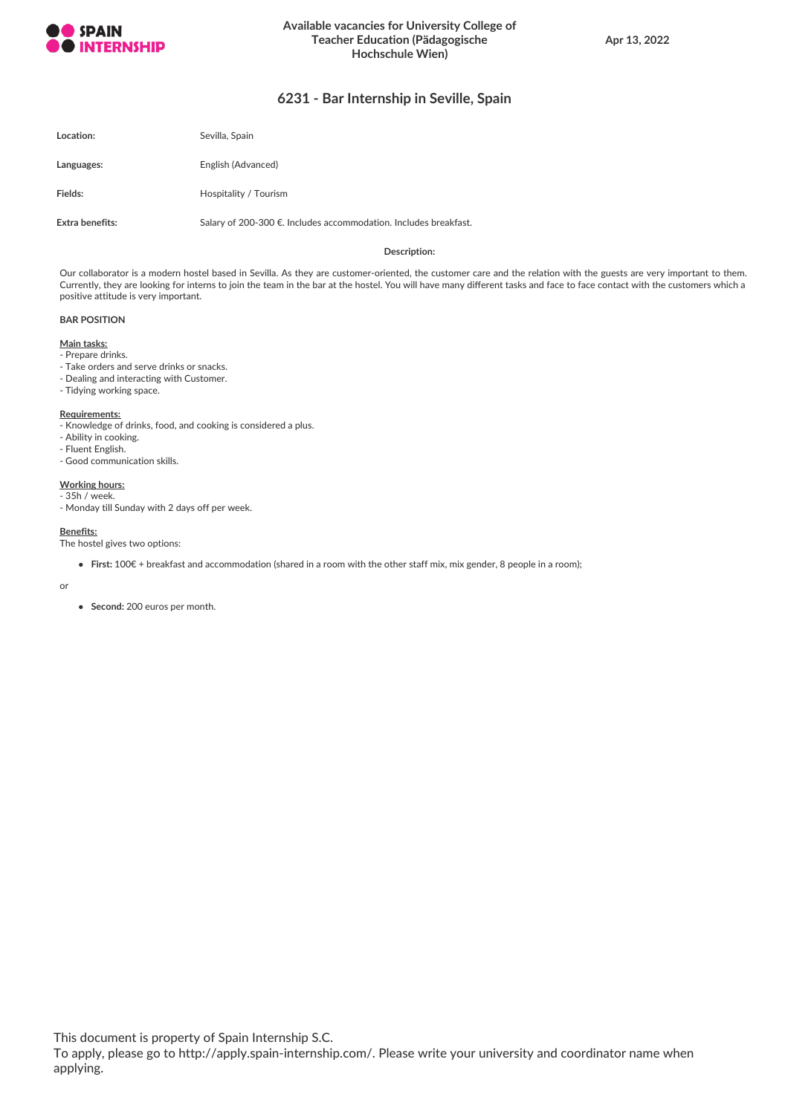

## **6231 - Bar Internship in Seville, Spain**

| Location:       | Sevilla, Spain                                                   |
|-----------------|------------------------------------------------------------------|
| Languages:      | English (Advanced)                                               |
| Fields:         | Hospitality / Tourism                                            |
| Extra benefits: | Salary of 200-300 €. Includes accommodation. Includes breakfast. |

#### **Description:**

Our collaborator is a modern hostel based in Sevilla. As they are customer-oriented, the customer care and the relation with the guests are very important to them. Currently, they are looking for interns to join the team in the bar at the hostel. You will have many different tasks and face to face contact with the customers which a positive attitude is very important.

#### **BAR POSITION**

#### **Main tasks:**

- Prepare drinks.
- Take orders and serve drinks or snacks.
- Dealing and interacting with Customer.
- Tidying working space.

#### **Requirements:**

- Knowledge of drinks, food, and cooking is considered a plus.
- Ability in cooking.
- Fluent English.
- Good communication skills.

## **Working hours:**

- 35h / week. - Monday till Sunday with 2 days off per week.

#### **Benefits:**

The hostel gives two options:

**First:** 100€ + breakfast and accommodation (shared in a room with the other staff mix, mix gender, 8 people in a room);

or

**Second:** 200 euros per month.

This document is property of Spain Internship S.C.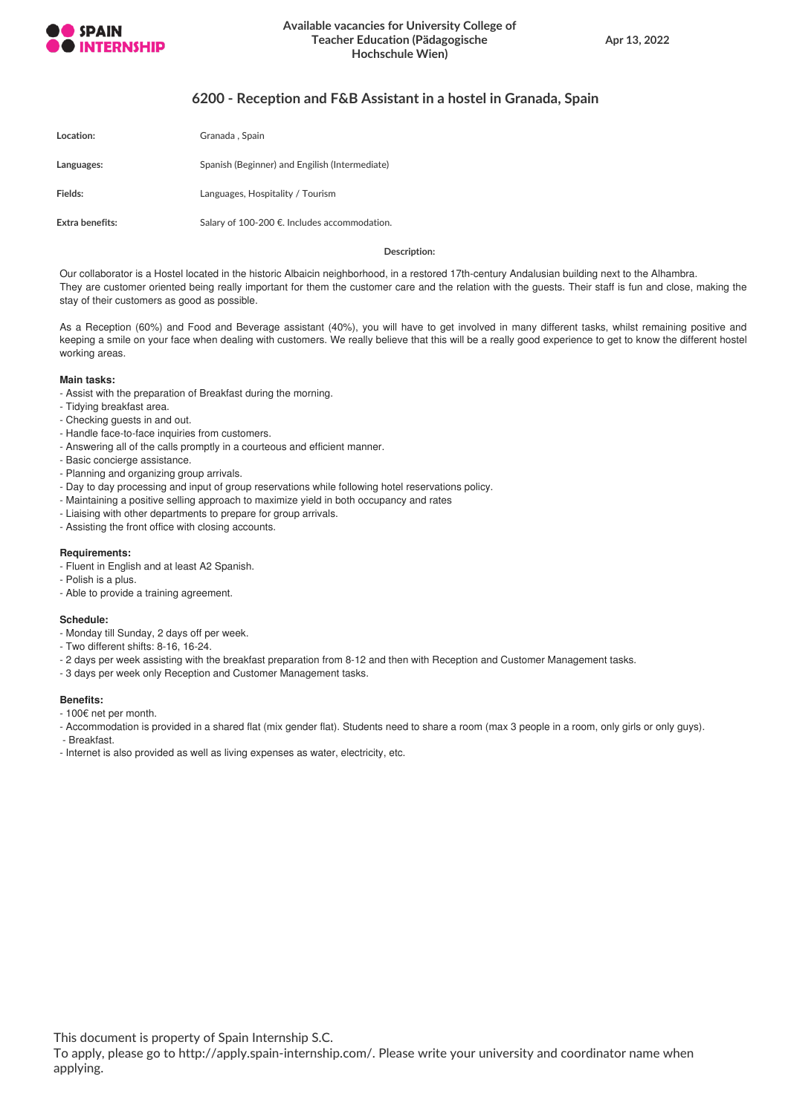

## **6200 - Reception and F&B Assistant in a hostel in Granada, Spain**

| Location:       | Granada, Spain                                 |
|-----------------|------------------------------------------------|
| Languages:      | Spanish (Beginner) and Engilish (Intermediate) |
| Fields:         | Languages, Hospitality / Tourism               |
| Extra benefits: | Salary of 100-200 €. Includes accommodation.   |

**Description:**

Our collaborator is a Hostel located in the historic Albaicin neighborhood, in a restored 17th-century Andalusian building next to the Alhambra. They are customer oriented being really important for them the customer care and the relation with the guests. Their staff is fun and close, making the stay of their customers as good as possible.

As a Reception (60%) and Food and Beverage assistant (40%), you will have to get involved in many different tasks, whilst remaining positive and keeping a smile on your face when dealing with customers. We really believe that this will be a really good experience to get to know the different hostel working areas.

#### **Main tasks:**

- Assist with the preparation of Breakfast during the morning.
- Tidying breakfast area.
- Checking guests in and out.
- Handle face-to-face inquiries from customers.
- Answering all of the calls promptly in a courteous and efficient manner.
- Basic concierge assistance.
- Planning and organizing group arrivals.
- Day to day processing and input of group reservations while following hotel reservations policy.
- Maintaining a positive selling approach to maximize yield in both occupancy and rates
- Liaising with other departments to prepare for group arrivals.
- Assisting the front office with closing accounts.

#### **Requirements:**

- Fluent in English and at least A2 Spanish.
- Polish is a plus.
- Able to provide a training agreement.

#### **Schedule:**

- Monday till Sunday, 2 days off per week.
- Two different shifts: 8-16, 16-24.
- 2 days per week assisting with the breakfast preparation from 8-12 and then with Reception and Customer Management tasks.
- 3 days per week only Reception and Customer Management tasks.

#### **Benefits:**

- 100€ net per month.
- Accommodation is provided in a shared flat (mix gender flat). Students need to share a room (max 3 people in a room, only girls or only guys).

- Breakfast.

- Internet is also provided as well as living expenses as water, electricity, etc.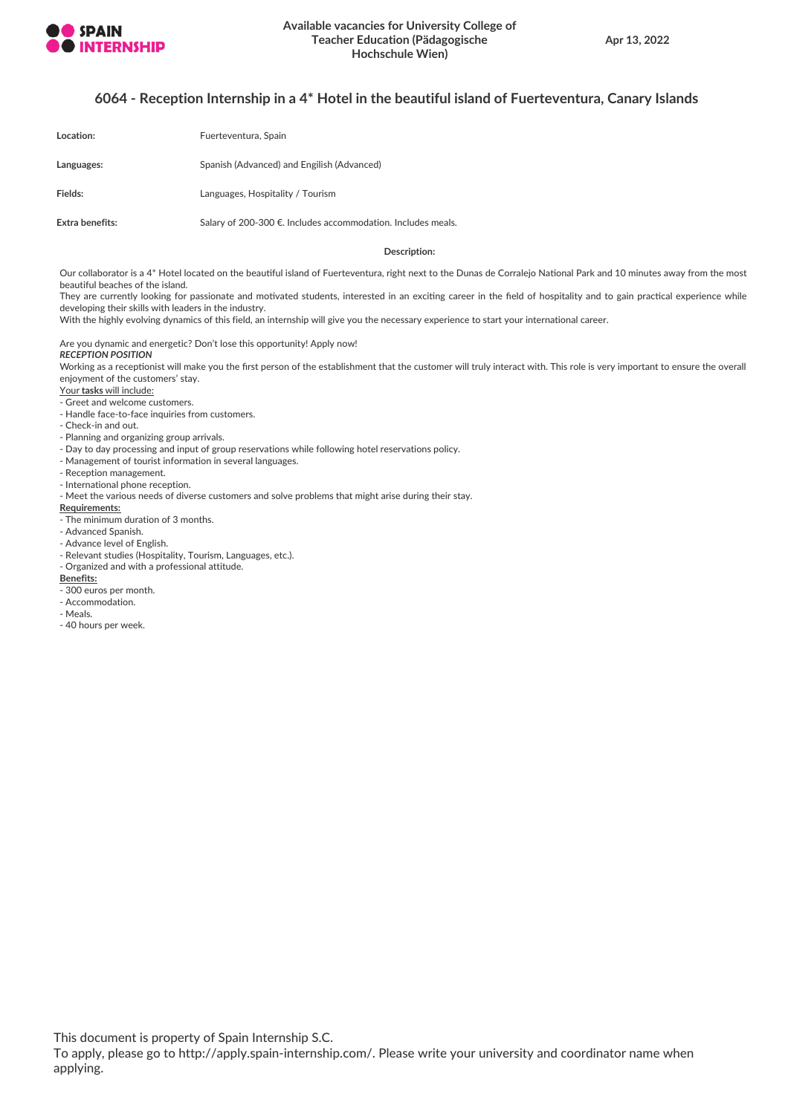

## **6064 - Reception Internship in a 4\* Hotel in the beautiful island of Fuerteventura, Canary Islands**

| Location:       | Fuerteventura, Spain                                         |
|-----------------|--------------------------------------------------------------|
| Languages:      | Spanish (Advanced) and Engilish (Advanced)                   |
| Fields:         | Languages, Hospitality / Tourism                             |
| Extra benefits: | Salary of 200-300 €. Includes accommodation. Includes meals. |

#### **Description:**

Our collaborator is a 4\* Hotel located on the beautiful island of Fuerteventura, right next to the Dunas de Corralejo National Park and 10 minutes away from the most beautiful beaches of the island.

They are currently looking for passionate and motivated students, interested in an exciting career in the field of hospitality and to gain practical experience while developing their skills with leaders in the industry.

With the highly evolving dynamics of this field, an internship will give you the necessary experience to start your international career.

Are you dynamic and energetic? Don't lose this opportunity! Apply now! *RECEPTION POSITION*

Working as a receptionist will make you the first person of the establishment that the customer will truly interact with. This role is very important to ensure the overall enjoyment of the customers' stay.

- Your **tasks** will include:
- Greet and welcome customers.
- Handle face-to-face inquiries from customers.
- Check-in and out.
- Planning and organizing group arrivals.
- Day to day processing and input of group reservations while following hotel reservations policy.
- Management of tourist information in several languages.
- Reception management.
- International phone reception.
- Meet the various needs of diverse customers and solve problems that might arise during their stay.

#### **Requirements:**

- The minimum duration of 3 months.
- Advanced Spanish.
- Advance level of English.
- Relevant studies (Hospitality, Tourism, Languages, etc.).
- Organized and with a professional attitude.

#### **Benefits:**

- 300 euros per month.
- Accommodation.
- Meals.
- 40 hours per week.

This document is property of Spain Internship S.C.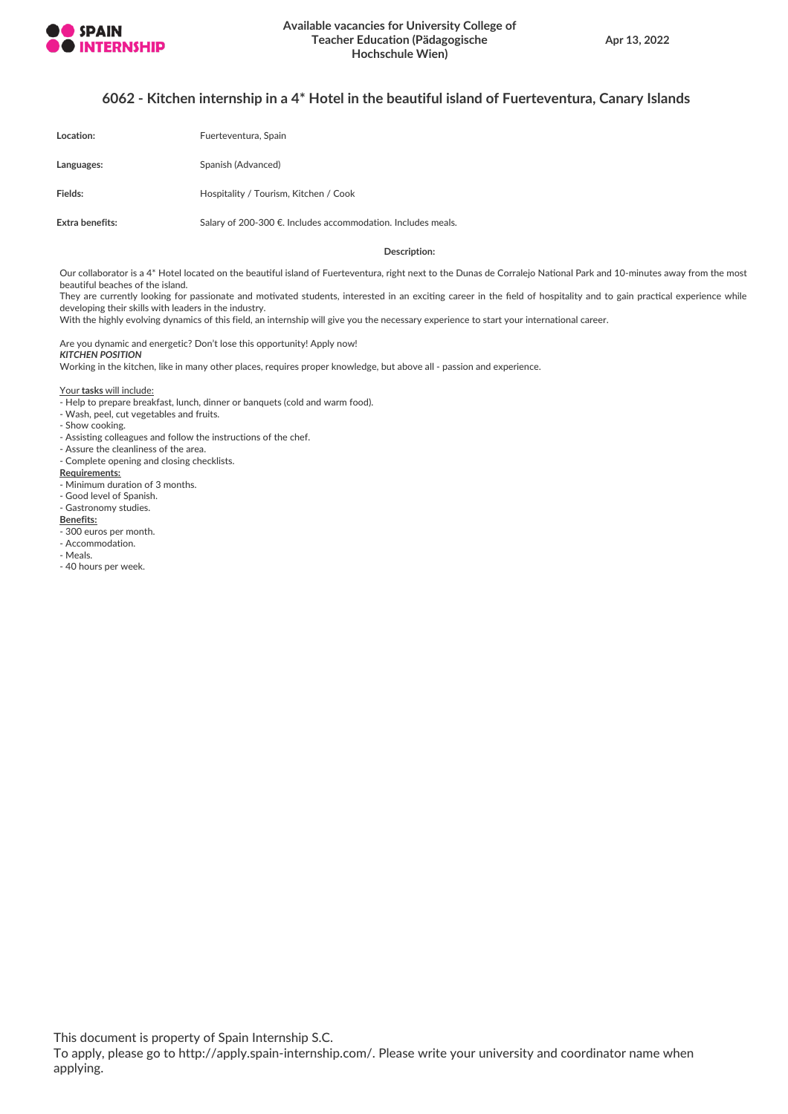

## **6062 - Kitchen internship in a 4\* Hotel in the beautiful island of Fuerteventura, Canary Islands**

| Location:       | Fuerteventura, Spain                                         |
|-----------------|--------------------------------------------------------------|
| Languages:      | Spanish (Advanced)                                           |
| Fields:         | Hospitality / Tourism, Kitchen / Cook                        |
| Extra benefits: | Salary of 200-300 €. Includes accommodation. Includes meals. |

#### **Description:**

Our collaborator is a 4\* Hotel located on the beautiful island of Fuerteventura, right next to the Dunas de Corralejo National Park and 10-minutes away from the most beautiful beaches of the island.

They are currently looking for passionate and motivated students, interested in an exciting career in the field of hospitality and to gain practical experience while developing their skills with leaders in the industry.

With the highly evolving dynamics of this field, an internship will give you the necessary experience to start your international career.

Are you dynamic and energetic? Don't lose this opportunity! Apply now! *KITCHEN POSITION*

Working in the kitchen, like in many other places, requires proper knowledge, but above all - passion and experience.

Your **tasks** will include:

- Help to prepare breakfast, lunch, dinner or banquets (cold and warm food).

- Wash, peel, cut vegetables and fruits.
- Show cooking.
- Assisting colleagues and follow the instructions of the chef.
- Assure the cleanliness of the area.
- Complete opening and closing checklists.

## **Requirements:**

- Minimum duration of 3 months.
- Good level of Spanish.

#### - Gastronomy studies.

## **Benefits:**

- 300 euros per month.
- Accommodation.
- Meals.
- 40 hours per week.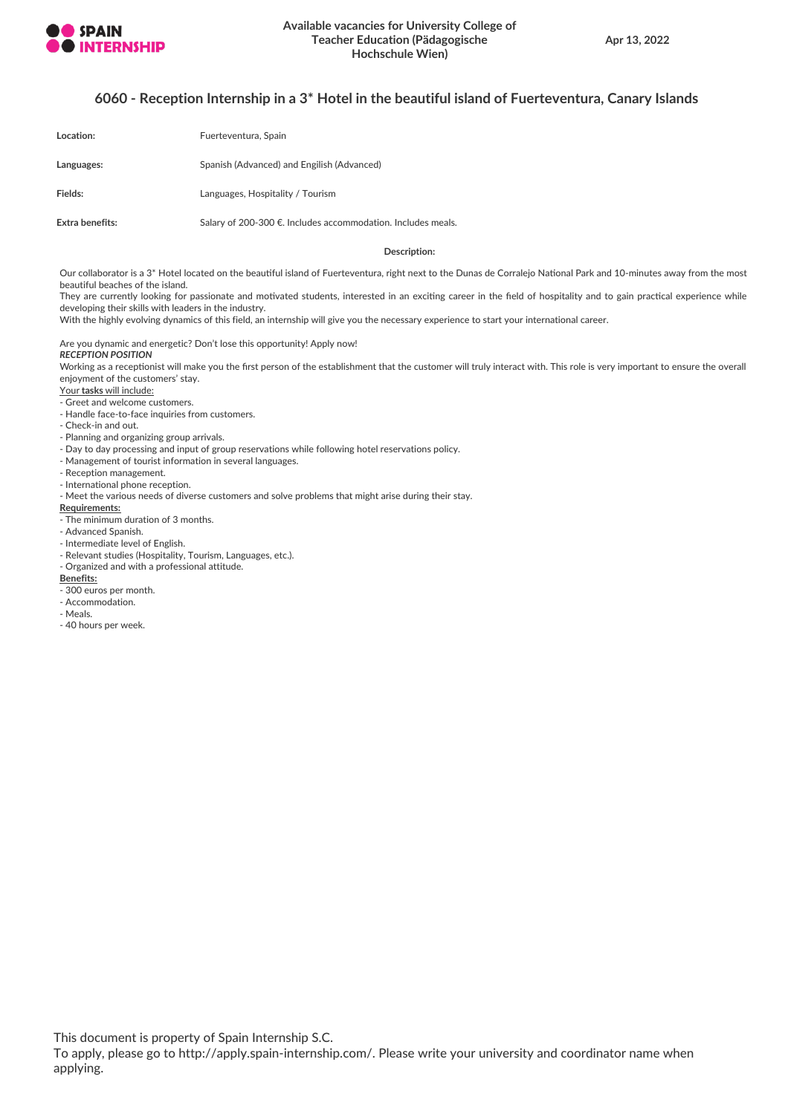

## **6060 - Reception Internship in a 3\* Hotel in the beautiful island of Fuerteventura, Canary Islands**

| Location:       | Fuerteventura, Spain                                         |
|-----------------|--------------------------------------------------------------|
| Languages:      | Spanish (Advanced) and Engilish (Advanced)                   |
| Fields:         | Languages, Hospitality / Tourism                             |
| Extra benefits: | Salary of 200-300 €. Includes accommodation. Includes meals. |

#### **Description:**

Our collaborator is a 3\* Hotel located on the beautiful island of Fuerteventura, right next to the Dunas de Corralejo National Park and 10-minutes away from the most beautiful beaches of the island.

They are currently looking for passionate and motivated students, interested in an exciting career in the field of hospitality and to gain practical experience while developing their skills with leaders in the industry.

With the highly evolving dynamics of this field, an internship will give you the necessary experience to start your international career.

Are you dynamic and energetic? Don't lose this opportunity! Apply now! *RECEPTION POSITION*

Working as a receptionist will make you the first person of the establishment that the customer will truly interact with. This role is very important to ensure the overall enjoyment of the customers' stay.

Your **tasks** will include:

- Greet and welcome customers.

- Handle face-to-face inquiries from customers.
- Check-in and out.

- Planning and organizing group arrivals.

- Day to day processing and input of group reservations while following hotel reservations policy.

- Management of tourist information in several languages.
- Reception management.
- International phone reception.

- Meet the various needs of diverse customers and solve problems that might arise during their stay.

#### **Requirements:**

The minimum duration of 3 months.

- Advanced Spanish.
- Intermediate level of English.
- Relevant studies (Hospitality, Tourism, Languages, etc.).
- Organized and with a professional attitude.

## **Benefits:**

- 300 euros per month.
- Accommodation.
- Meals.
- 40 hours per week.

This document is property of Spain Internship S.C.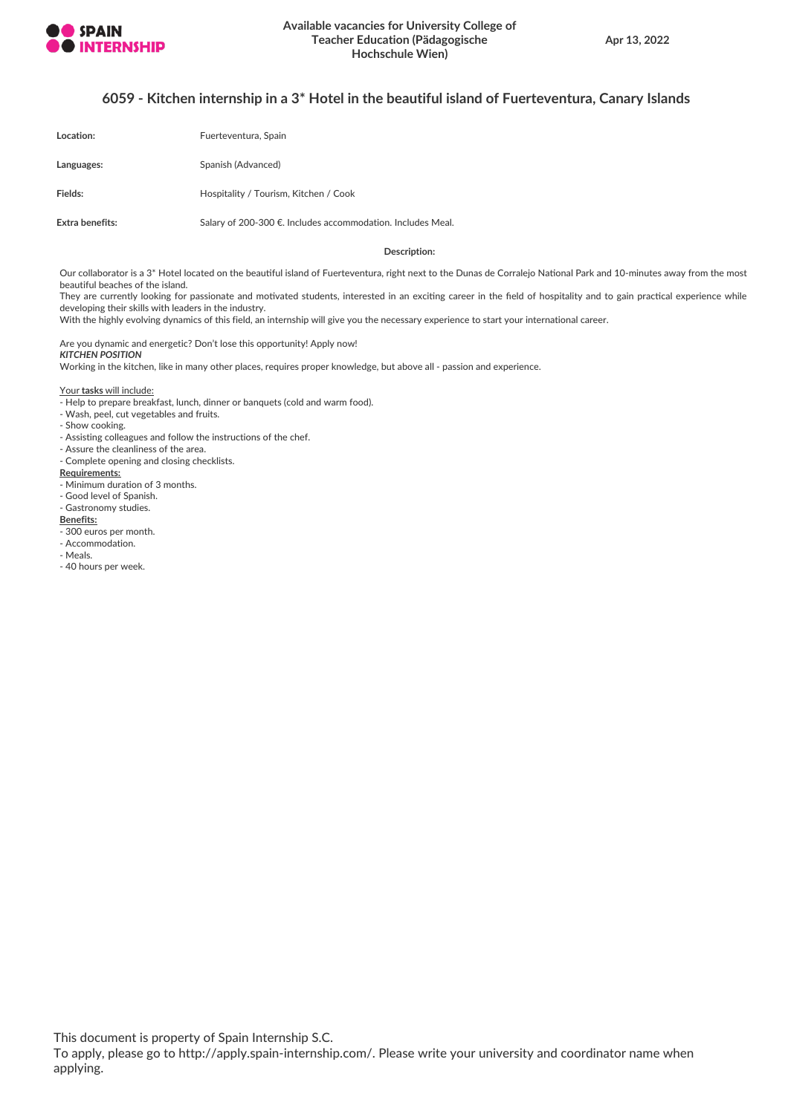

## **6059 - Kitchen internship in a 3\* Hotel in the beautiful island of Fuerteventura, Canary Islands**

| Location:       | Fuerteventura, Spain                                        |
|-----------------|-------------------------------------------------------------|
| Languages:      | Spanish (Advanced)                                          |
| Fields:         | Hospitality / Tourism, Kitchen / Cook                       |
| Extra benefits: | Salary of 200-300 €. Includes accommodation. Includes Meal. |

#### **Description:**

Our collaborator is a 3\* Hotel located on the beautiful island of Fuerteventura, right next to the Dunas de Corralejo National Park and 10-minutes away from the most beautiful beaches of the island.

They are currently looking for passionate and motivated students, interested in an exciting career in the field of hospitality and to gain practical experience while developing their skills with leaders in the industry.

With the highly evolving dynamics of this field, an internship will give you the necessary experience to start your international career.

Are you dynamic and energetic? Don't lose this opportunity! Apply now! *KITCHEN POSITION*

Working in the kitchen, like in many other places, requires proper knowledge, but above all - passion and experience.

Your **tasks** will include:

- Help to prepare breakfast, lunch, dinner or banquets (cold and warm food).

- Wash, peel, cut vegetables and fruits.
- Show cooking.
- Assisting colleagues and follow the instructions of the chef.
- Assure the cleanliness of the area. - Complete opening and closing checklists.
- 

## **Requirements:**

- Minimum duration of 3 months.
- Good level of Spanish.

#### - Gastronomy studies.

## **Benefits:**

- 300 euros per month.
- Accommodation.
- Meals.
- 40 hours per week.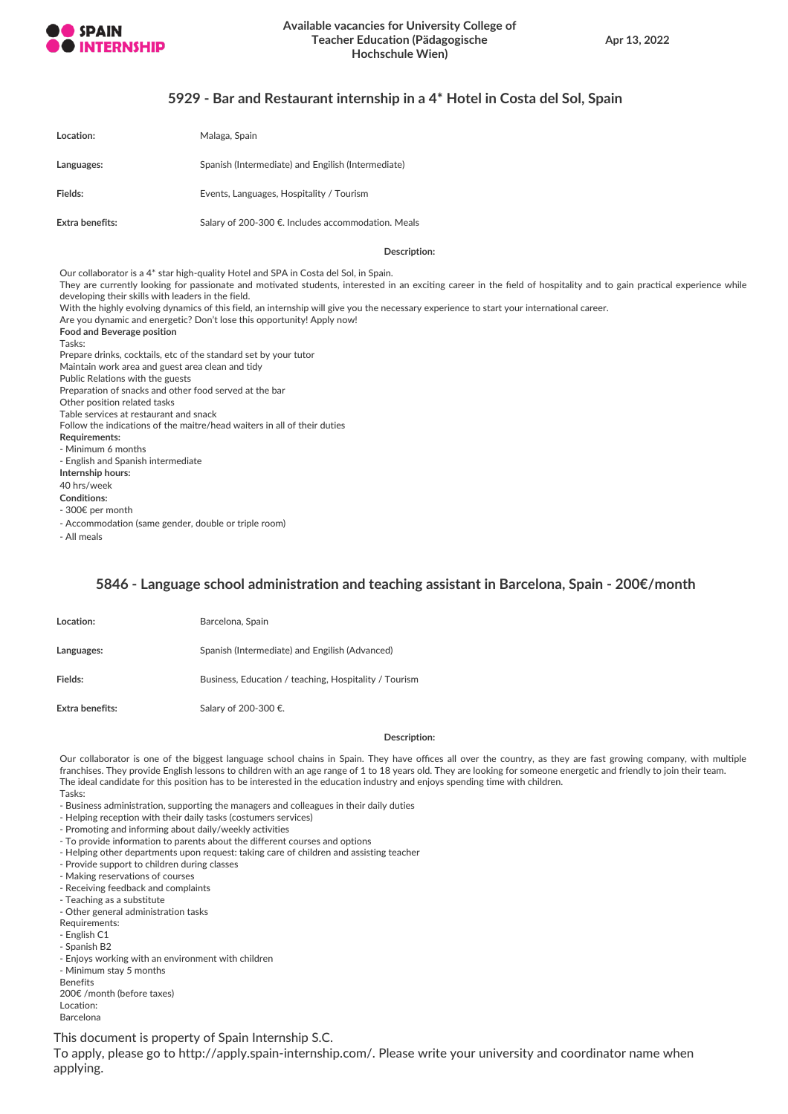

## **5929 - Bar and Restaurant internship in a 4\* Hotel in Costa del Sol, Spain**

| Location:       | Malaga, Spain                                      |
|-----------------|----------------------------------------------------|
| Languages:      | Spanish (Intermediate) and Engilish (Intermediate) |
| Fields:         | Events, Languages, Hospitality / Tourism           |
| Extra benefits: | Salary of 200-300 €. Includes accommodation. Meals |

**Description:**

Our collaborator is a 4\* star high-quality Hotel and SPA in Costa del Sol, in Spain. They are currently looking for passionate and motivated students, interested in an exciting career in the field of hospitality and to gain practical experience while developing their skills with leaders in the field. With the highly evolving dynamics of this field, an internship will give you the necessary experience to start your international career. Are you dynamic and energetic? Don't lose this opportunity! Apply now! **Food and Beverage position** Tasks: Prepare drinks, cocktails, etc of the standard set by your tutor Maintain work area and guest area clean and tidy Public Relations with the guests Preparation of snacks and other food served at the bar Other position related tasks Table services at restaurant and snack Follow the indications of the maitre/head waiters in all of their duties **Requirements:** - Minimum 6 months - English and Spanish intermediate **Internship hours:** 40 hrs/week **Conditions:** - 300€ per month - Accommodation (same gender, double or triple room)

- All meals

## **5846 - Language school administration and teaching assistant in Barcelona, Spain - 200€/month**

| Location:       | Barcelona, Spain                                      |
|-----------------|-------------------------------------------------------|
| Languages:      | Spanish (Intermediate) and Engilish (Advanced)        |
| Fields:         | Business, Education / teaching, Hospitality / Tourism |
| Extra benefits: | Salary of 200-300 €.                                  |

#### **Description:**

Our collaborator is one of the biggest language school chains in Spain. They have offices all over the country, as they are fast growing company, with multiple franchises. They provide English lessons to children with an age range of 1 to 18 years old. They are looking for someone energetic and friendly to join their team. The ideal candidate for this position has to be interested in the education industry and enjoys spending time with children. Tasks:

- Business administration, supporting the managers and colleagues in their daily duties
- Helping reception with their daily tasks (costumers services)
- Promoting and informing about daily/weekly activities
- To provide information to parents about the different courses and options
- Helping other departments upon request: taking care of children and assisting teacher
- Provide support to children during classes
- Making reservations of courses
- Receiving feedback and complaints
- Teaching as a substitute
- Other general administration tasks
- Requirements:
- English C1
- Spanish B2
- Enjoys working with an environment with children
- Minimum stay 5 months
- Benefits
- 200€ /month (before taxes)
- Location: Barcelona

This document is property of Spain Internship S.C.